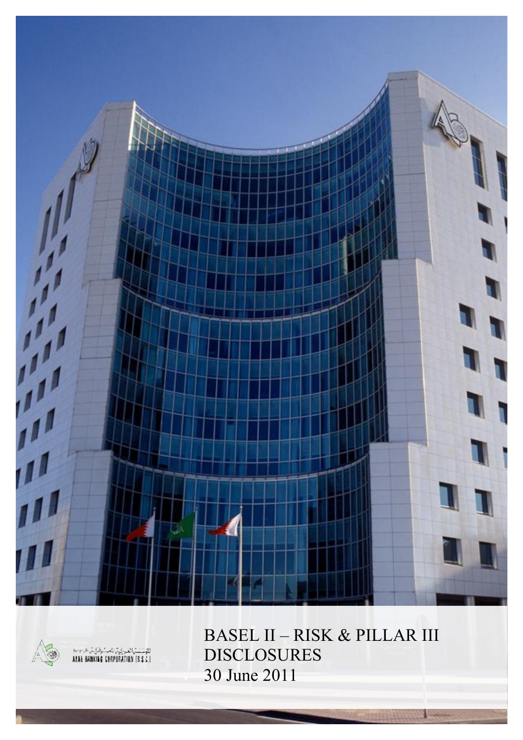



BASEL II – RISK & PILLAR III DISCLOSURES 30 June 2011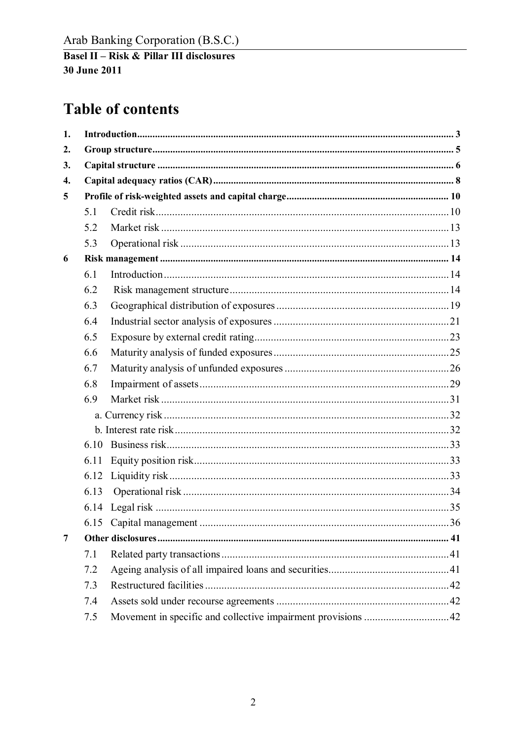## **Table of contents**

| 1. |      |  |
|----|------|--|
| 2. |      |  |
| 3. |      |  |
| 4. |      |  |
| 5  |      |  |
|    | 5.1  |  |
|    | 5.2  |  |
|    | 5.3  |  |
| 6  |      |  |
|    | 6.1  |  |
|    | 6.2  |  |
|    | 6.3  |  |
|    | 6.4  |  |
|    | 6.5  |  |
|    | 6.6  |  |
|    | 6.7  |  |
|    | 6.8  |  |
|    | 6.9  |  |
|    |      |  |
|    |      |  |
|    | 6.10 |  |
|    | 6.11 |  |
|    | 6.12 |  |
|    | 6.13 |  |
|    |      |  |
|    |      |  |
| 7  |      |  |
|    | 7.1  |  |
|    | 7.2  |  |
|    | 7.3  |  |
|    | 7.4  |  |
|    | 7.5  |  |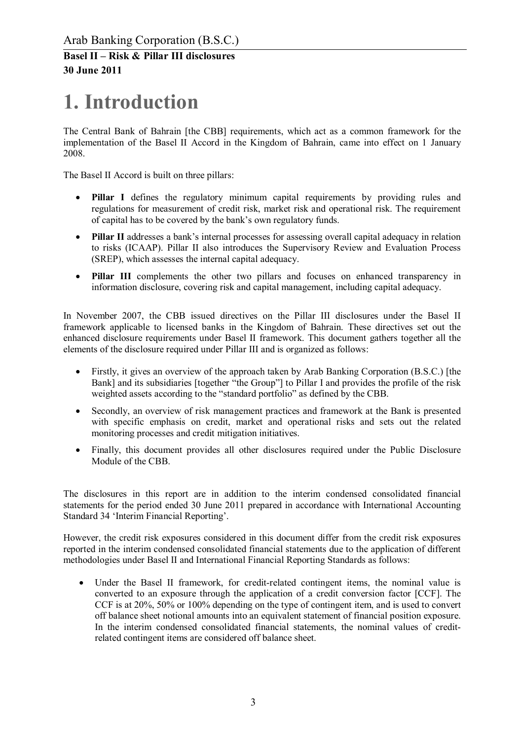# **1. Introduction**

The Central Bank of Bahrain [the CBB] requirements, which act as a common framework for the implementation of the Basel II Accord in the Kingdom of Bahrain, came into effect on 1 January 2008.

The Basel II Accord is built on three pillars:

- **Pillar I** defines the regulatory minimum capital requirements by providing rules and regulations for measurement of credit risk, market risk and operational risk. The requirement of capital has to be covered by the bank's own regulatory funds.
- · **Pillar II** addresses a bank's internal processes for assessing overall capital adequacy in relation to risks (ICAAP). Pillar II also introduces the Supervisory Review and Evaluation Process (SREP), which assesses the internal capital adequacy.
- **Pillar III** complements the other two pillars and focuses on enhanced transparency in information disclosure, covering risk and capital management, including capital adequacy.

In November 2007, the CBB issued directives on the Pillar III disclosures under the Basel II framework applicable to licensed banks in the Kingdom of Bahrain. These directives set out the enhanced disclosure requirements under Basel II framework. This document gathers together all the elements of the disclosure required under Pillar III and is organized as follows:

- Firstly, it gives an overview of the approach taken by Arab Banking Corporation (B.S.C.) [the Bank] and its subsidiaries [together "the Group"] to Pillar I and provides the profile of the risk weighted assets according to the "standard portfolio" as defined by the CBB.
- · Secondly, an overview of risk management practices and framework at the Bank is presented with specific emphasis on credit, market and operational risks and sets out the related monitoring processes and credit mitigation initiatives.
- Finally, this document provides all other disclosures required under the Public Disclosure Module of the CBB.

The disclosures in this report are in addition to the interim condensed consolidated financial statements for the period ended 30 June 2011 prepared in accordance with International Accounting Standard 34 'Interim Financial Reporting'.

However, the credit risk exposures considered in this document differ from the credit risk exposures reported in the interim condensed consolidated financial statements due to the application of different methodologies under Basel II and International Financial Reporting Standards as follows:

• Under the Basel II framework, for credit-related contingent items, the nominal value is converted to an exposure through the application of a credit conversion factor [CCF]. The CCF is at 20%, 50% or 100% depending on the type of contingent item, and is used to convert off balance sheet notional amounts into an equivalent statement of financial position exposure. In the interim condensed consolidated financial statements, the nominal values of creditrelated contingent items are considered off balance sheet.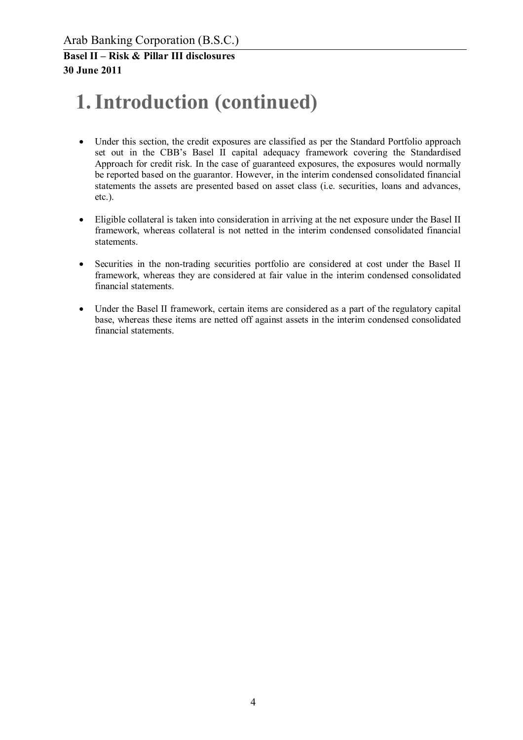# **1.Introduction (continued)**

- · Under this section, the credit exposures are classified as per the Standard Portfolio approach set out in the CBB's Basel II capital adequacy framework covering the Standardised Approach for credit risk. In the case of guaranteed exposures, the exposures would normally be reported based on the guarantor. However, in the interim condensed consolidated financial statements the assets are presented based on asset class (i.e. securities, loans and advances, etc.).
- · Eligible collateral is taken into consideration in arriving at the net exposure under the Basel II framework, whereas collateral is not netted in the interim condensed consolidated financial statements.
- · Securities in the non-trading securities portfolio are considered at cost under the Basel II framework, whereas they are considered at fair value in the interim condensed consolidated financial statements.
- · Under the Basel II framework, certain items are considered as a part of the regulatory capital base, whereas these items are netted off against assets in the interim condensed consolidated financial statements.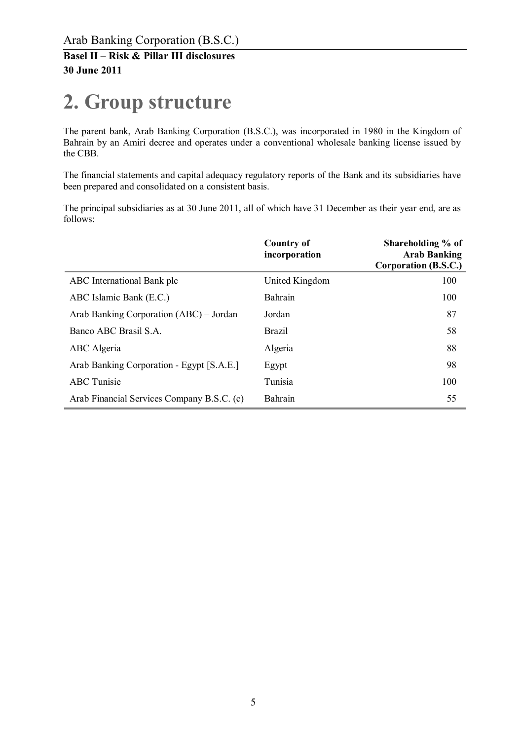# **2. Group structure**

The parent bank, Arab Banking Corporation (B.S.C.), was incorporated in 1980 in the Kingdom of Bahrain by an Amiri decree and operates under a conventional wholesale banking license issued by the CBB.

The financial statements and capital adequacy regulatory reports of the Bank and its subsidiaries have been prepared and consolidated on a consistent basis.

The principal subsidiaries as at 30 June 2011, all of which have 31 December as their year end, are as follows:

|                                            | <b>Country of</b><br>incorporation | Shareholding % of<br><b>Arab Banking</b><br>Corporation (B.S.C.) |
|--------------------------------------------|------------------------------------|------------------------------------------------------------------|
| ABC International Bank plc                 | United Kingdom                     | 100                                                              |
| ABC Islamic Bank (E.C.)                    | Bahrain                            | 100                                                              |
| Arab Banking Corporation (ABC) – Jordan    | Jordan                             | 87                                                               |
| Banco ABC Brasil S.A.                      | <b>Brazil</b>                      | 58                                                               |
| ABC Algeria                                | Algeria                            | 88                                                               |
| Arab Banking Corporation - Egypt [S.A.E.]  | Egypt                              | 98                                                               |
| <b>ABC</b> Tunisie                         | Tunisia                            | 100                                                              |
| Arab Financial Services Company B.S.C. (c) | Bahrain                            | 55                                                               |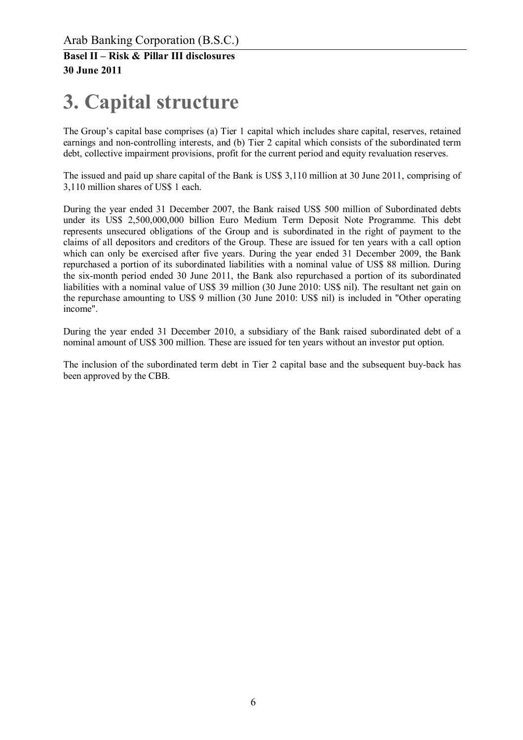# **3. Capital structure**

The Group's capital base comprises (a) Tier 1 capital which includes share capital, reserves, retained earnings and non-controlling interests, and (b) Tier 2 capital which consists of the subordinated term debt, collective impairment provisions, profit for the current period and equity revaluation reserves.

The issued and paid up share capital of the Bank is US\$ 3,110 million at 30 June 2011, comprising of 3,110 million shares of US\$ 1 each.

During the year ended 31 December 2007, the Bank raised US\$ 500 million of Subordinated debts under its US\$ 2,500,000,000 billion Euro Medium Term Deposit Note Programme. This debt represents unsecured obligations of the Group and is subordinated in the right of payment to the claims of all depositors and creditors of the Group. These are issued for ten years with a call option which can only be exercised after five years. During the year ended 31 December 2009, the Bank repurchased a portion of its subordinated liabilities with a nominal value of US\$ 88 million. During the six-month period ended 30 June 2011, the Bank also repurchased a portion of its subordinated liabilities with a nominal value of US\$ 39 million (30 June 2010: US\$ nil). The resultant net gain on the repurchase amounting to US\$ 9 million (30 June 2010: US\$ nil) is included in "Other operating income".

During the year ended 31 December 2010, a subsidiary of the Bank raised subordinated debt of a nominal amount of US\$ 300 million. These are issued for ten years without an investor put option.

The inclusion of the subordinated term debt in Tier 2 capital base and the subsequent buy-back has been approved by the CBB.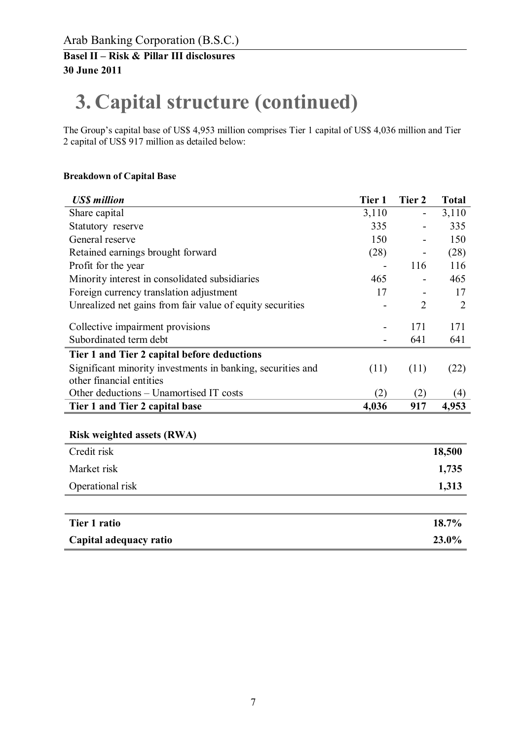# **3. Capital structure (continued)**

The Group's capital base of US\$ 4,953 million comprises Tier 1 capital of US\$ 4,036 million and Tier 2 capital of US\$ 917 million as detailed below:

#### **Breakdown of Capital Base**

| <b>US\$</b> million                                                                     | Tier 1 | Tier 2         | <b>Total</b> |
|-----------------------------------------------------------------------------------------|--------|----------------|--------------|
| Share capital                                                                           | 3,110  |                | 3,110        |
| Statutory reserve                                                                       | 335    |                | 335          |
| General reserve                                                                         | 150    |                | 150          |
| Retained earnings brought forward                                                       | (28)   |                | (28)         |
| Profit for the year                                                                     |        | 116            | 116          |
| Minority interest in consolidated subsidiaries                                          | 465    |                | 465          |
| Foreign currency translation adjustment                                                 | 17     |                | 17           |
| Unrealized net gains from fair value of equity securities                               |        | $\overline{2}$ | 2            |
| Collective impairment provisions                                                        |        | 171            | 171          |
| Subordinated term debt                                                                  |        | 641            | 641          |
| Tier 1 and Tier 2 capital before deductions                                             |        |                |              |
| Significant minority investments in banking, securities and<br>other financial entities | (11)   | (11)           | (22)         |
| Other deductions – Unamortised IT costs                                                 | (2)    | (2)            | (4)          |
| Tier 1 and Tier 2 capital base                                                          | 4,036  | 917            | 4,953        |
|                                                                                         |        |                |              |
| <b>Risk weighted assets (RWA)</b>                                                       |        |                |              |
| Credit risk                                                                             |        |                | 18,500       |
| Market risk                                                                             |        |                | 1,735        |
| Operational risk                                                                        |        |                | 1,313        |
|                                                                                         |        |                |              |
|                                                                                         |        |                |              |

| Tier 1 ratio           | 18.7% |
|------------------------|-------|
| Capital adequacy ratio | 23.0% |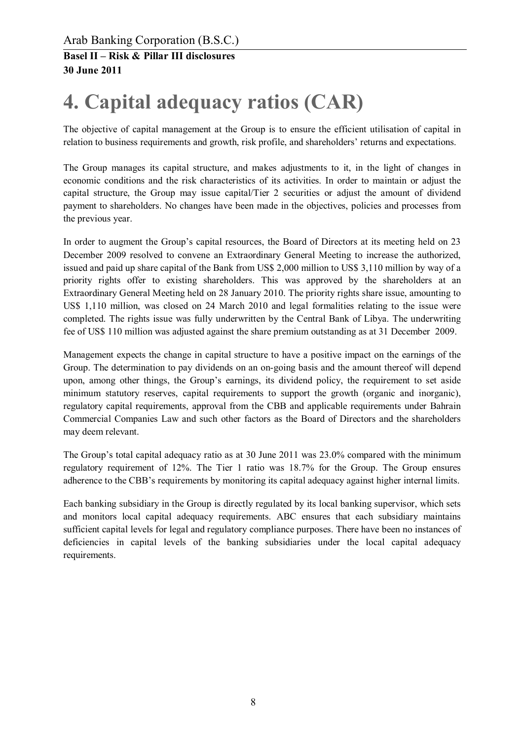# **4. Capital adequacy ratios (CAR)**

The objective of capital management at the Group is to ensure the efficient utilisation of capital in relation to business requirements and growth, risk profile, and shareholders' returns and expectations.

The Group manages its capital structure, and makes adjustments to it, in the light of changes in economic conditions and the risk characteristics of its activities. In order to maintain or adjust the capital structure, the Group may issue capital/Tier 2 securities or adjust the amount of dividend payment to shareholders. No changes have been made in the objectives, policies and processes from the previous year.

In order to augment the Group's capital resources, the Board of Directors at its meeting held on 23 December 2009 resolved to convene an Extraordinary General Meeting to increase the authorized, issued and paid up share capital of the Bank from US\$ 2,000 million to US\$ 3,110 million by way of a priority rights offer to existing shareholders. This was approved by the shareholders at an Extraordinary General Meeting held on 28 January 2010. The priority rights share issue, amounting to US\$ 1,110 million, was closed on 24 March 2010 and legal formalities relating to the issue were completed. The rights issue was fully underwritten by the Central Bank of Libya. The underwriting fee of US\$ 110 million was adjusted against the share premium outstanding as at 31 December 2009.

Management expects the change in capital structure to have a positive impact on the earnings of the Group. The determination to pay dividends on an on-going basis and the amount thereof will depend upon, among other things, the Group's earnings, its dividend policy, the requirement to set aside minimum statutory reserves, capital requirements to support the growth (organic and inorganic), regulatory capital requirements, approval from the CBB and applicable requirements under Bahrain Commercial Companies Law and such other factors as the Board of Directors and the shareholders may deem relevant.

The Group's total capital adequacy ratio as at 30 June 2011 was 23.0% compared with the minimum regulatory requirement of 12%. The Tier 1 ratio was 18.7% for the Group. The Group ensures adherence to the CBB's requirements by monitoring its capital adequacy against higher internal limits.

Each banking subsidiary in the Group is directly regulated by its local banking supervisor, which sets and monitors local capital adequacy requirements. ABC ensures that each subsidiary maintains sufficient capital levels for legal and regulatory compliance purposes. There have been no instances of deficiencies in capital levels of the banking subsidiaries under the local capital adequacy requirements.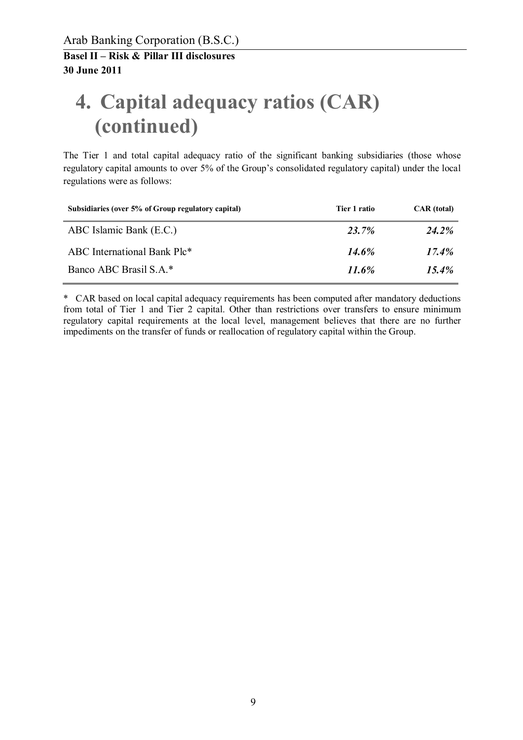# **4. Capital adequacy ratios (CAR) (continued)**

The Tier 1 and total capital adequacy ratio of the significant banking subsidiaries (those whose regulatory capital amounts to over 5% of the Group's consolidated regulatory capital) under the local regulations were as follows:

| Subsidiaries (over 5% of Group regulatory capital) | Tier 1 ratio | <b>CAR</b> (total) |
|----------------------------------------------------|--------------|--------------------|
| ABC Islamic Bank (E.C.)                            | 23.7%        | <b>24.2%</b>       |
| ABC International Bank Plc*                        | $14.6\%$     | $17.4\%$           |
| Banco ABC Brasil S.A.*                             | 11.6%        | $15.4\%$           |

\* CAR based on local capital adequacy requirements has been computed after mandatory deductions from total of Tier 1 and Tier 2 capital. Other than restrictions over transfers to ensure minimum regulatory capital requirements at the local level, management believes that there are no further impediments on the transfer of funds or reallocation of regulatory capital within the Group.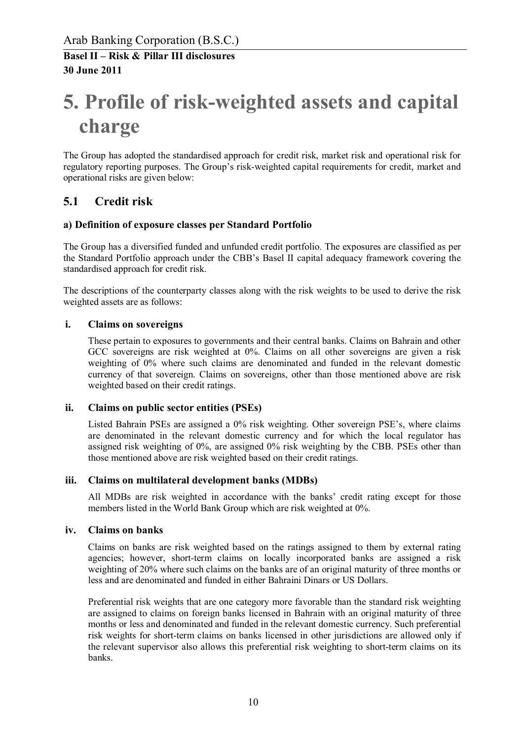# **5. Profile of risk-weighted assets and capital charge**

The Group has adopted the standardised approach for credit risk, market risk and operational risk for regulatory reporting purposes. The Group's risk-weighted capital requirements for credit, market and operational risks are given below:

### **5.1 Credit risk**

#### **a) Definition of exposure classes per Standard Portfolio**

The Group has a diversified funded and unfunded credit portfolio. The exposures are classified as per the Standard Portfolio approach under the CBB's Basel II capital adequacy framework covering the standardised approach for credit risk.

The descriptions of the counterparty classes along with the risk weights to be used to derive the risk weighted assets are as follows:

#### **i. Claims on sovereigns**

These pertain to exposures to governments and their central banks. Claims on Bahrain and other GCC sovereigns are risk weighted at 0%. Claims on all other sovereigns are given a risk weighting of 0% where such claims are denominated and funded in the relevant domestic currency of that sovereign. Claims on sovereigns, other than those mentioned above are risk weighted based on their credit ratings.

#### **ii. Claims on public sector entities (PSEs)**

Listed Bahrain PSEs are assigned a 0% risk weighting. Other sovereign PSE's, where claims are denominated in the relevant domestic currency and for which the local regulator has assigned risk weighting of 0%, are assigned 0% risk weighting by the CBB. PSEs other than those mentioned above are risk weighted based on their credit ratings.

#### **iii. Claims on multilateral development banks (MDBs)**

All MDBs are risk weighted in accordance with the banks' credit rating except for those members listed in the World Bank Group which are risk weighted at 0%.

#### **iv. Claims on banks**

Claims on banks are risk weighted based on the ratings assigned to them by external rating agencies; however, short-term claims on locally incorporated banks are assigned a risk weighting of 20% where such claims on the banks are of an original maturity of three months or less and are denominated and funded in either Bahraini Dinars or US Dollars.

Preferential risk weights that are one category more favorable than the standard risk weighting are assigned to claims on foreign banks licensed in Bahrain with an original maturity of three months or less and denominated and funded in the relevant domestic currency. Such preferential risk weights for short-term claims on banks licensed in other jurisdictions are allowed only if the relevant supervisor also allows this preferential risk weighting to short-term claims on its banks.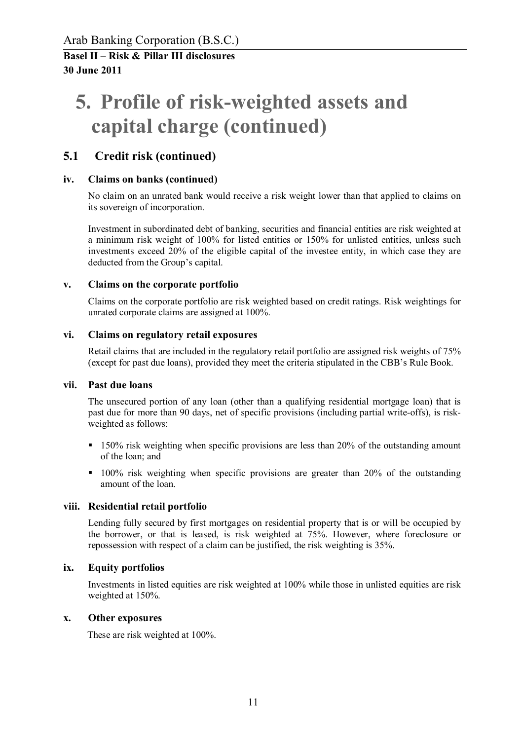# **5. Profile of risk-weighted assets and capital charge (continued)**

### **5.1 Credit risk (continued)**

#### **iv. Claims on banks (continued)**

No claim on an unrated bank would receive a risk weight lower than that applied to claims on its sovereign of incorporation.

Investment in subordinated debt of banking, securities and financial entities are risk weighted at a minimum risk weight of 100% for listed entities or 150% for unlisted entities, unless such investments exceed 20% of the eligible capital of the investee entity, in which case they are deducted from the Group's capital.

#### **v. Claims on the corporate portfolio**

Claims on the corporate portfolio are risk weighted based on credit ratings. Risk weightings for unrated corporate claims are assigned at 100%.

#### **vi. Claims on regulatory retail exposures**

Retail claims that are included in the regulatory retail portfolio are assigned risk weights of 75% (except for past due loans), provided they meet the criteria stipulated in the CBB's Rule Book.

#### **vii. Past due loans**

The unsecured portion of any loan (other than a qualifying residential mortgage loan) that is past due for more than 90 days, net of specific provisions (including partial write-offs), is riskweighted as follows:

- **150% risk weighting when specific provisions are less than 20% of the outstanding amount** of the loan; and
- $\blacksquare$  100% risk weighting when specific provisions are greater than 20% of the outstanding amount of the loan.

#### **viii. Residential retail portfolio**

Lending fully secured by first mortgages on residential property that is or will be occupied by the borrower, or that is leased, is risk weighted at 75%. However, where foreclosure or repossession with respect of a claim can be justified, the risk weighting is 35%.

#### **ix. Equity portfolios**

Investments in listed equities are risk weighted at 100% while those in unlisted equities are risk weighted at 150%.

#### **x. Other exposures**

These are risk weighted at 100%.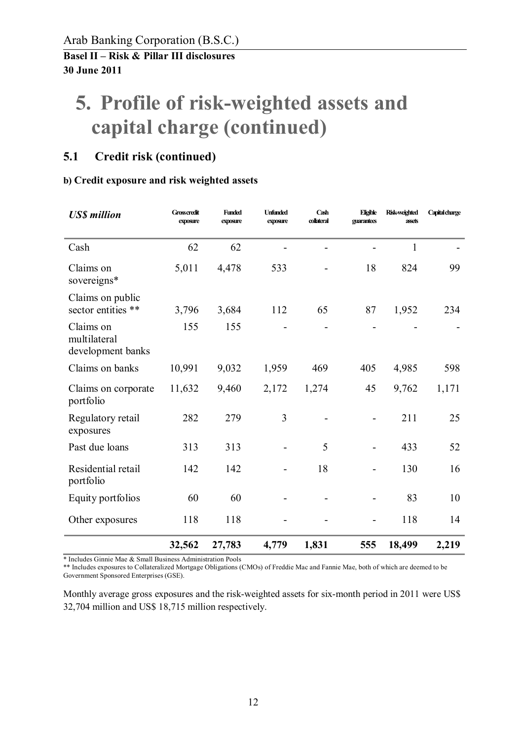# **5. Profile of risk-weighted assets and capital charge (continued)**

## **5.1 Credit risk (continued)**

### **b) Credit exposure and risk weighted assets**

| <b>US\$</b> million                            | <b>Grosscredit</b><br>exposure | <b>Funded</b><br>exposure | <b>Unfunded</b><br>exposure | Cash<br>collateral | Eligible<br>guarantees | <b>Risk-weighted</b><br>assets | Capital charge |
|------------------------------------------------|--------------------------------|---------------------------|-----------------------------|--------------------|------------------------|--------------------------------|----------------|
| Cash                                           | 62                             | 62                        |                             |                    |                        | $\mathbf{1}$                   |                |
| Claims on<br>sovereigns*                       | 5,011                          | 4,478                     | 533                         |                    | 18                     | 824                            | 99             |
| Claims on public<br>sector entities **         | 3,796                          | 3,684                     | 112                         | 65                 | 87                     | 1,952                          | 234            |
| Claims on<br>multilateral<br>development banks | 155                            | 155                       |                             |                    |                        |                                |                |
| Claims on banks                                | 10,991                         | 9,032                     | 1,959                       | 469                | 405                    | 4,985                          | 598            |
| Claims on corporate<br>portfolio               | 11,632                         | 9,460                     | 2,172                       | 1,274              | 45                     | 9,762                          | 1,171          |
| Regulatory retail<br>exposures                 | 282                            | 279                       | 3                           |                    |                        | 211                            | 25             |
| Past due loans                                 | 313                            | 313                       |                             | 5                  |                        | 433                            | 52             |
| Residential retail<br>portfolio                | 142                            | 142                       |                             | 18                 |                        | 130                            | 16             |
| Equity portfolios                              | 60                             | 60                        |                             |                    |                        | 83                             | 10             |
| Other exposures                                | 118                            | 118                       |                             |                    |                        | 118                            | 14             |
|                                                | 32,562                         | 27,783                    | 4,779                       | 1,831              | 555                    | 18,499                         | 2,219          |

\* Includes Ginnie Mae & Small Business Administration Pools

\*\* Includes exposures to Collateralized Mortgage Obligations (CMOs) of Freddie Mac and Fannie Mae, both of which are deemed to be Government Sponsored Enterprises (GSE).

Monthly average gross exposures and the risk-weighted assets for six-month period in 2011 were US\$ 32,704 million and US\$ 18,715 million respectively.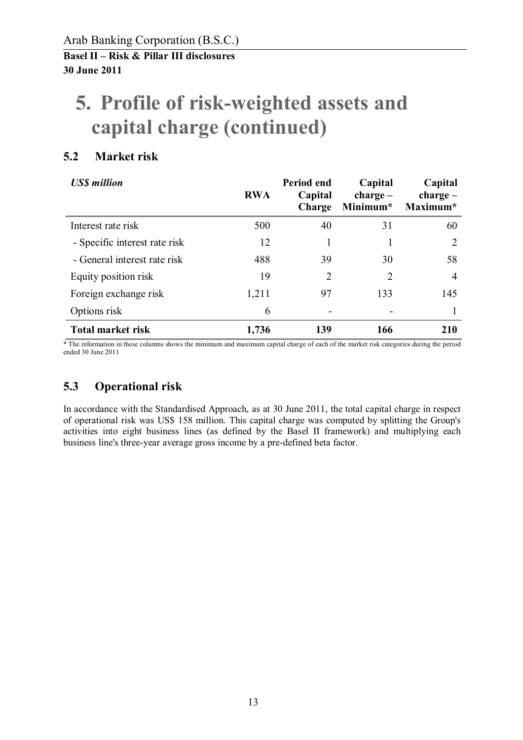# **5. Profile of risk-weighted assets and capital charge (continued)**

## **5.2 Market risk**

| <b>USS</b> million            | <b>RWA</b> | Period end<br>Capital<br>Charge | Capital<br>$charge -$<br>Minimum* | Capital<br>$charge -$<br>Maximum* |
|-------------------------------|------------|---------------------------------|-----------------------------------|-----------------------------------|
| Interest rate risk            | 500        | 40                              | 31                                | 60                                |
| - Specific interest rate risk | 12         |                                 |                                   | 2                                 |
| - General interest rate risk  | 488        | 39                              | 30                                | 58                                |
| Equity position risk          | 19         | 2                               | 2                                 | $\overline{4}$                    |
| Foreign exchange risk         | 1,211      | 97                              | 133                               | 145                               |
| Options risk                  | 6          |                                 |                                   |                                   |
| <b>Total market risk</b>      | 1,736      | 139                             | 166                               | 210                               |

\* The information in these columns shows the minimum and maximum capital charge of each of the market risk categories during the period ended 30 June 2011

## **5.3 Operational risk**

In accordance with the Standardised Approach, as at 30 June 2011, the total capital charge in respect of operational risk was US\$ 158 million. This capital charge was computed by splitting the Group's activities into eight business lines (as defined by the Basel II framework) and multiplying each business line's three-year average gross income by a pre-defined beta factor.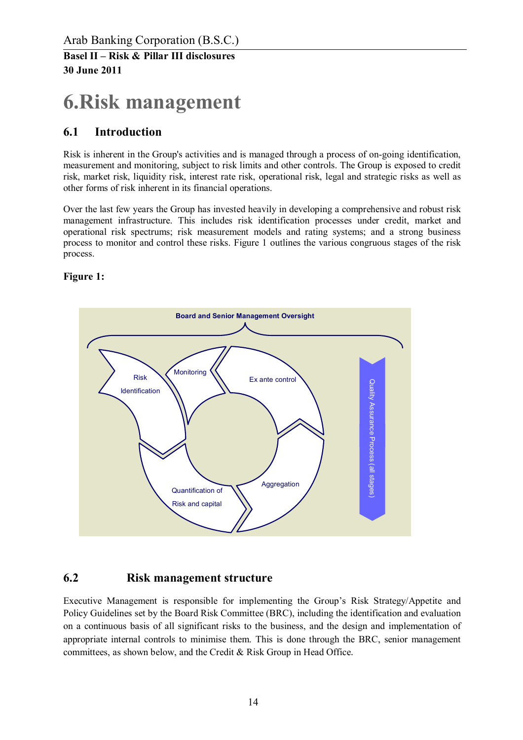# **6.Risk management**

### **6.1 Introduction**

Risk is inherent in the Group's activities and is managed through a process of on-going identification, measurement and monitoring, subject to risk limits and other controls. The Group is exposed to credit risk, market risk, liquidity risk, interest rate risk, operational risk, legal and strategic risks as well as other forms of risk inherent in its financial operations.

Over the last few years the Group has invested heavily in developing a comprehensive and robust risk management infrastructure. This includes risk identification processes under credit, market and operational risk spectrums; risk measurement models and rating systems; and a strong business process to monitor and control these risks. Figure 1 outlines the various congruous stages of the risk process.

**Figure 1:** 



#### **6.2 Risk management structure**

Executive Management is responsible for implementing the Group's Risk Strategy/Appetite and Policy Guidelines set by the Board Risk Committee (BRC), including the identification and evaluation on a continuous basis of all significant risks to the business, and the design and implementation of appropriate internal controls to minimise them. This is done through the BRC, senior management committees, as shown below, and the Credit & Risk Group in Head Office.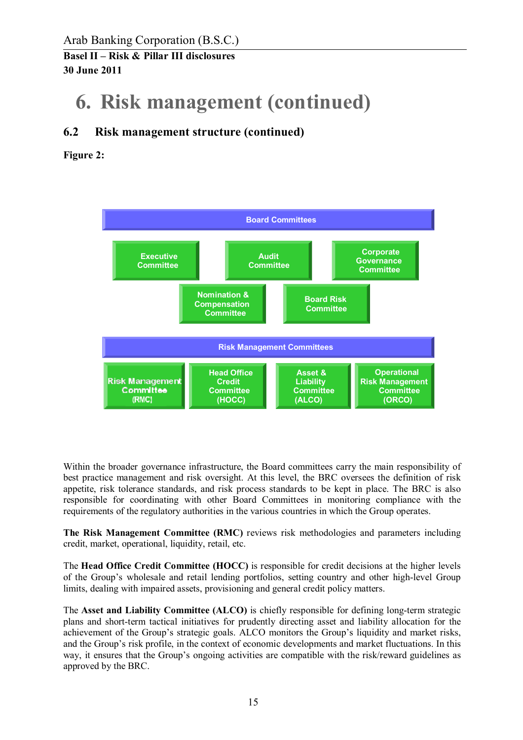Arab Banking Corporation (B.S.C.)

**Basel II – Risk & Pillar III disclosures 30 June 2011** 

## **6. Risk management (continued)**

### **6.2 Risk management structure (continued)**

**Figure 2:** 



Within the broader governance infrastructure, the Board committees carry the main responsibility of best practice management and risk oversight. At this level, the BRC oversees the definition of risk appetite, risk tolerance standards, and risk process standards to be kept in place. The BRC is also responsible for coordinating with other Board Committees in monitoring compliance with the requirements of the regulatory authorities in the various countries in which the Group operates.

**The Risk Management Committee (RMC)** reviews risk methodologies and parameters including credit, market, operational, liquidity, retail, etc.

The **Head Office Credit Committee (HOCC)** is responsible for credit decisions at the higher levels of the Group's wholesale and retail lending portfolios, setting country and other high-level Group limits, dealing with impaired assets, provisioning and general credit policy matters.

The **Asset and Liability Committee (ALCO)** is chiefly responsible for defining long-term strategic plans and short-term tactical initiatives for prudently directing asset and liability allocation for the achievement of the Group's strategic goals. ALCO monitors the Group's liquidity and market risks, and the Group's risk profile, in the context of economic developments and market fluctuations. In this way, it ensures that the Group's ongoing activities are compatible with the risk/reward guidelines as approved by the BRC.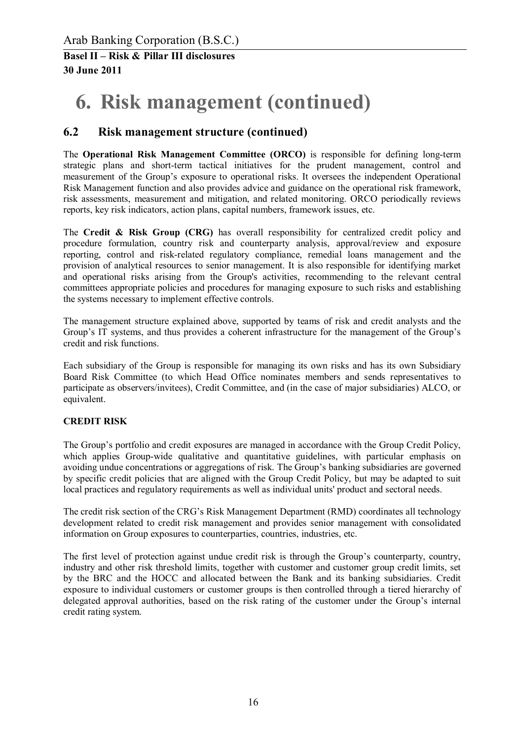# **6. Risk management (continued)**

### **6.2 Risk management structure (continued)**

The **Operational Risk Management Committee (ORCO)** is responsible for defining long-term strategic plans and short-term tactical initiatives for the prudent management, control and measurement of the Group's exposure to operational risks. It oversees the independent Operational Risk Management function and also provides advice and guidance on the operational risk framework, risk assessments, measurement and mitigation, and related monitoring. ORCO periodically reviews reports, key risk indicators, action plans, capital numbers, framework issues, etc.

The **Credit & Risk Group (CRG)** has overall responsibility for centralized credit policy and procedure formulation, country risk and counterparty analysis, approval/review and exposure reporting, control and risk-related regulatory compliance, remedial loans management and the provision of analytical resources to senior management. It is also responsible for identifying market and operational risks arising from the Group's activities, recommending to the relevant central committees appropriate policies and procedures for managing exposure to such risks and establishing the systems necessary to implement effective controls.

The management structure explained above, supported by teams of risk and credit analysts and the Group's IT systems, and thus provides a coherent infrastructure for the management of the Group's credit and risk functions.

Each subsidiary of the Group is responsible for managing its own risks and has its own Subsidiary Board Risk Committee (to which Head Office nominates members and sends representatives to participate as observers/invitees), Credit Committee, and (in the case of major subsidiaries) ALCO, or equivalent.

#### **CREDIT RISK**

The Group's portfolio and credit exposures are managed in accordance with the Group Credit Policy, which applies Group-wide qualitative and quantitative guidelines, with particular emphasis on avoiding undue concentrations or aggregations of risk. The Group's banking subsidiaries are governed by specific credit policies that are aligned with the Group Credit Policy, but may be adapted to suit local practices and regulatory requirements as well as individual units' product and sectoral needs.

The credit risk section of the CRG's Risk Management Department (RMD) coordinates all technology development related to credit risk management and provides senior management with consolidated information on Group exposures to counterparties, countries, industries, etc.

The first level of protection against undue credit risk is through the Group's counterparty, country, industry and other risk threshold limits, together with customer and customer group credit limits, set by the BRC and the HOCC and allocated between the Bank and its banking subsidiaries. Credit exposure to individual customers or customer groups is then controlled through a tiered hierarchy of delegated approval authorities, based on the risk rating of the customer under the Group's internal credit rating system.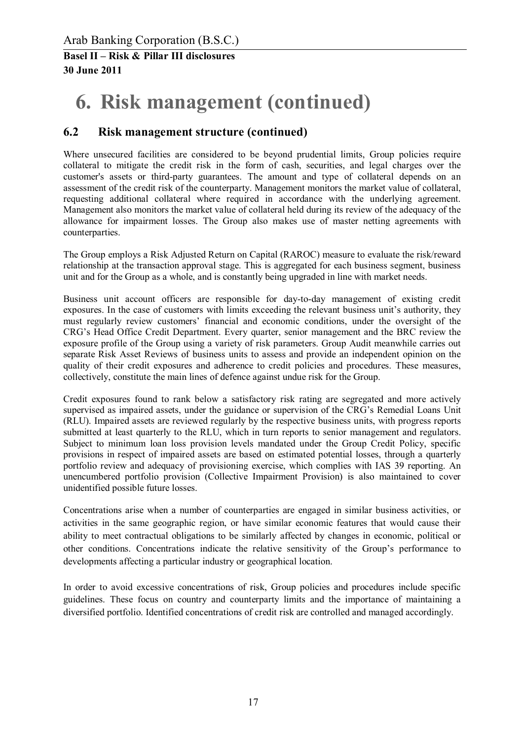# **6. Risk management (continued)**

### **6.2 Risk management structure (continued)**

Where unsecured facilities are considered to be beyond prudential limits, Group policies require collateral to mitigate the credit risk in the form of cash, securities, and legal charges over the customer's assets or third-party guarantees. The amount and type of collateral depends on an assessment of the credit risk of the counterparty. Management monitors the market value of collateral, requesting additional collateral where required in accordance with the underlying agreement. Management also monitors the market value of collateral held during its review of the adequacy of the allowance for impairment losses. The Group also makes use of master netting agreements with counterparties.

The Group employs a Risk Adjusted Return on Capital (RAROC) measure to evaluate the risk/reward relationship at the transaction approval stage. This is aggregated for each business segment, business unit and for the Group as a whole, and is constantly being upgraded in line with market needs.

Business unit account officers are responsible for day-to-day management of existing credit exposures. In the case of customers with limits exceeding the relevant business unit's authority, they must regularly review customers' financial and economic conditions, under the oversight of the CRG's Head Office Credit Department. Every quarter, senior management and the BRC review the exposure profile of the Group using a variety of risk parameters. Group Audit meanwhile carries out separate Risk Asset Reviews of business units to assess and provide an independent opinion on the quality of their credit exposures and adherence to credit policies and procedures. These measures, collectively, constitute the main lines of defence against undue risk for the Group.

Credit exposures found to rank below a satisfactory risk rating are segregated and more actively supervised as impaired assets, under the guidance or supervision of the CRG's Remedial Loans Unit (RLU). Impaired assets are reviewed regularly by the respective business units, with progress reports submitted at least quarterly to the RLU, which in turn reports to senior management and regulators. Subject to minimum loan loss provision levels mandated under the Group Credit Policy, specific provisions in respect of impaired assets are based on estimated potential losses, through a quarterly portfolio review and adequacy of provisioning exercise, which complies with IAS 39 reporting. An unencumbered portfolio provision (Collective Impairment Provision) is also maintained to cover unidentified possible future losses.

Concentrations arise when a number of counterparties are engaged in similar business activities, or activities in the same geographic region, or have similar economic features that would cause their ability to meet contractual obligations to be similarly affected by changes in economic, political or other conditions. Concentrations indicate the relative sensitivity of the Group's performance to developments affecting a particular industry or geographical location.

In order to avoid excessive concentrations of risk, Group policies and procedures include specific guidelines. These focus on country and counterparty limits and the importance of maintaining a diversified portfolio. Identified concentrations of credit risk are controlled and managed accordingly.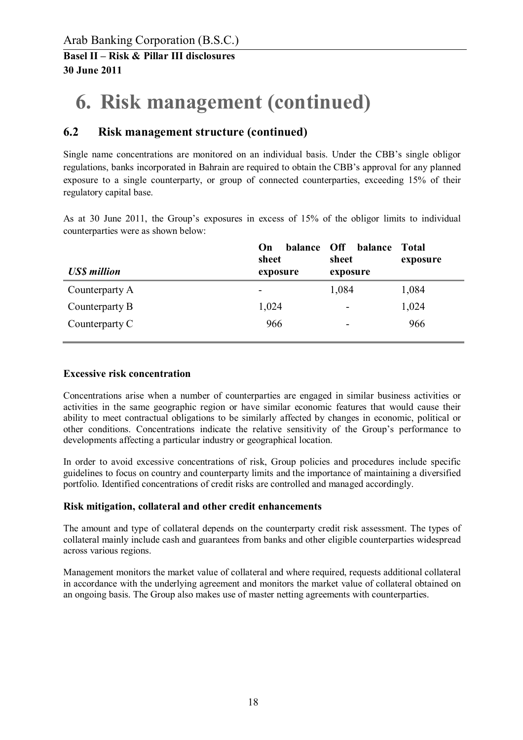# **6. Risk management (continued)**

## **6.2 Risk management structure (continued)**

Single name concentrations are monitored on an individual basis. Under the CBB's single obligor regulations, banks incorporated in Bahrain are required to obtain the CBB's approval for any planned exposure to a single counterparty, or group of connected counterparties, exceeding 15% of their regulatory capital base.

As at 30 June 2011, the Group's exposures in excess of 15% of the obligor limits to individual counterparties were as shown below:

| On.<br>sheet             | sheet    | Total<br>exposure               |  |  |  |
|--------------------------|----------|---------------------------------|--|--|--|
|                          |          |                                 |  |  |  |
| $\overline{\phantom{a}}$ | 1,084    | 1,084                           |  |  |  |
| 1,024                    | -        | 1,024                           |  |  |  |
| 966                      | -        | 966                             |  |  |  |
|                          | exposure | balance Off balance<br>exposure |  |  |  |

#### **Excessive risk concentration**

Concentrations arise when a number of counterparties are engaged in similar business activities or activities in the same geographic region or have similar economic features that would cause their ability to meet contractual obligations to be similarly affected by changes in economic, political or other conditions. Concentrations indicate the relative sensitivity of the Group's performance to developments affecting a particular industry or geographical location.

In order to avoid excessive concentrations of risk, Group policies and procedures include specific guidelines to focus on country and counterparty limits and the importance of maintaining a diversified portfolio. Identified concentrations of credit risks are controlled and managed accordingly.

#### **Risk mitigation, collateral and other credit enhancements**

The amount and type of collateral depends on the counterparty credit risk assessment. The types of collateral mainly include cash and guarantees from banks and other eligible counterparties widespread across various regions.

Management monitors the market value of collateral and where required, requests additional collateral in accordance with the underlying agreement and monitors the market value of collateral obtained on an ongoing basis. The Group also makes use of master netting agreements with counterparties.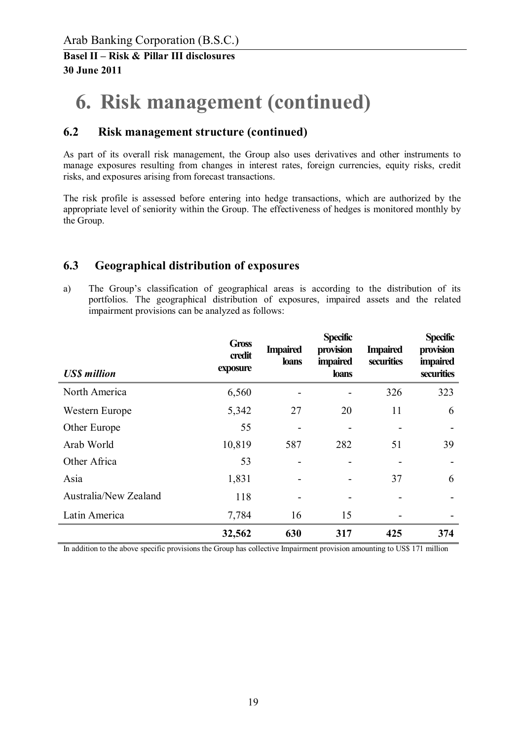# **6. Risk management (continued)**

### **6.2 Risk management structure (continued)**

As part of its overall risk management, the Group also uses derivatives and other instruments to manage exposures resulting from changes in interest rates, foreign currencies, equity risks, credit risks, and exposures arising from forecast transactions.

The risk profile is assessed before entering into hedge transactions, which are authorized by the appropriate level of seniority within the Group. The effectiveness of hedges is monitored monthly by the Group.

### **6.3 Geographical distribution of exposures**

a) The Group's classification of geographical areas is according to the distribution of its portfolios. The geographical distribution of exposures, impaired assets and the related impairment provisions can be analyzed as follows:

| <b>US\$</b> million   | <b>Gross</b><br>credit<br>exposure | <b>Impaired</b><br><b>loans</b> | <b>Specific</b><br>provision<br><i>impaired</i><br><b>loans</b> | <b>Impaired</b><br>securities | <b>Specific</b><br>provision<br><i>impaired</i><br>securities |
|-----------------------|------------------------------------|---------------------------------|-----------------------------------------------------------------|-------------------------------|---------------------------------------------------------------|
| North America         | 6,560                              |                                 |                                                                 | 326                           | 323                                                           |
| Western Europe        | 5,342                              | 27                              | 20                                                              | 11                            | 6                                                             |
| Other Europe          | 55                                 |                                 |                                                                 |                               |                                                               |
| Arab World            | 10,819                             | 587                             | 282                                                             | 51                            | 39                                                            |
| Other Africa          | 53                                 |                                 |                                                                 |                               |                                                               |
| Asia                  | 1,831                              |                                 |                                                                 | 37                            | 6                                                             |
| Australia/New Zealand | 118                                |                                 |                                                                 |                               |                                                               |
| Latin America         | 7,784                              | 16                              | 15                                                              |                               |                                                               |
|                       | 32,562                             | 630                             | 317                                                             | 425                           | 374                                                           |

In addition to the above specific provisions the Group has collective Impairment provision amounting to US\$ 171 million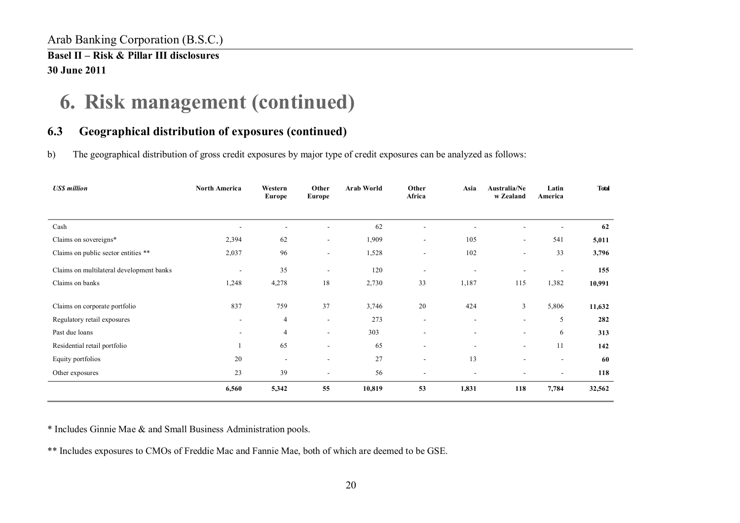# **6. Risk management (continued)**

## **6.3 Geographical distribution of exposures (continued)**

b) The geographical distribution of gross credit exposures by major type of credit exposures can be analyzed as follows:

| <b>US\$</b> million                      | <b>North America</b>     | Western<br>Europe | Other<br><b>Europe</b>   | <b>Arab World</b> | Other<br>Africa          | Asia           | Australia/Ne<br>w Zealand | Latin<br>America         | <b>Total</b> |
|------------------------------------------|--------------------------|-------------------|--------------------------|-------------------|--------------------------|----------------|---------------------------|--------------------------|--------------|
|                                          |                          |                   |                          |                   |                          |                |                           |                          |              |
| Cash                                     |                          |                   |                          | 62                |                          |                |                           |                          | 62           |
| Claims on sovereigns*                    | 2,394                    | 62                | $\overline{\phantom{a}}$ | 1,909             | $\overline{\phantom{a}}$ | 105            | $\sim$                    | 541                      | 5,011        |
| Claims on public sector entities **      | 2,037                    | 96                | $\sim$                   | 1,528             | $\overline{\phantom{a}}$ | 102            | $\overline{\phantom{a}}$  | 33                       | 3,796        |
| Claims on multilateral development banks | $\overline{\phantom{a}}$ | 35                | $\overline{\phantom{a}}$ | 120               | $\overline{\phantom{a}}$ | $\blacksquare$ |                           | $\overline{\phantom{a}}$ | 155          |
| Claims on banks                          | 1,248                    | 4,278             | 18                       | 2,730             | 33                       | 1,187          | 115                       | 1,382                    | 10,991       |
| Claims on corporate portfolio            | 837                      | 759               | 37                       | 3,746             | 20                       | 424            | 3                         | 5,806                    | 11,632       |
| Regulatory retail exposures              | $\overline{\phantom{a}}$ | 4                 | $\blacksquare$           | 273               | $\overline{\phantom{a}}$ | $\blacksquare$ | $\overline{\phantom{a}}$  | 5                        | 282          |
| Past due loans                           |                          | $\overline{4}$    | $\overline{\phantom{a}}$ | 303               | ä,                       | $\blacksquare$ | $\overline{\phantom{a}}$  | 6                        | 313          |
| Residential retail portfolio             |                          | 65                | $\overline{\phantom{a}}$ | 65                | $\overline{\phantom{a}}$ | $\blacksquare$ | $\blacksquare$            | 11                       | 142          |
| Equity portfolios                        | 20                       |                   |                          | 27                | $\overline{\phantom{a}}$ | 13             | $\overline{\phantom{a}}$  | $\overline{\phantom{a}}$ | 60           |
| Other exposures                          | 23                       | 39                |                          | 56                |                          |                |                           |                          | 118          |
|                                          | 6,560                    | 5,342             | 55                       | 10,819            | 53                       | 1,831          | 118                       | 7,784                    | 32,562       |

\* Includes Ginnie Mae & and Small Business Administration pools.

\*\* Includes exposures to CMOs of Freddie Mac and Fannie Mae, both of which are deemed to be GSE.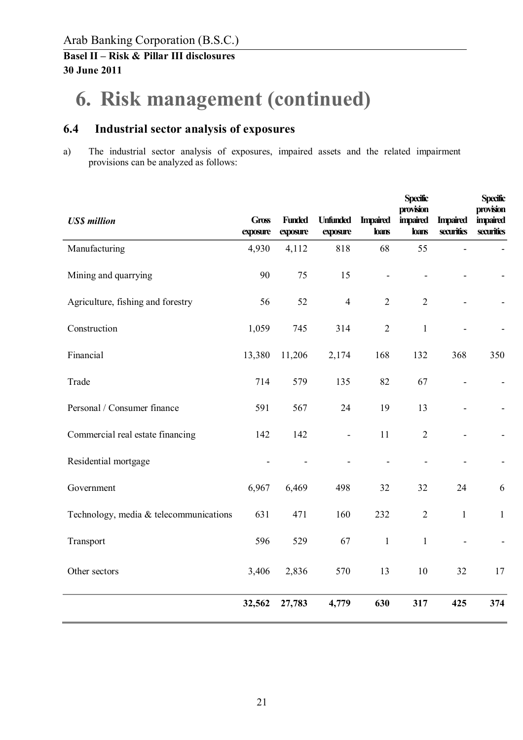# **6. Risk management (continued)**

### **6.4 Industrial sector analysis of exposures**

a) The industrial sector analysis of exposures, impaired assets and the related impairment provisions can be analyzed as follows:

| <b>US\$</b> million                    | <b>Gross</b><br>exposure | <b>Funded</b><br>exposure | <b>Unfunded</b><br>exposure | <b>Impaired</b><br><b>loans</b> | <b>Specific</b><br>provision<br><b>impaired</b><br><b>loans</b> | <b>Impaired</b><br>securities | <b>Specific</b><br>provision<br><i>impaired</i><br>securities |
|----------------------------------------|--------------------------|---------------------------|-----------------------------|---------------------------------|-----------------------------------------------------------------|-------------------------------|---------------------------------------------------------------|
| Manufacturing                          | 4,930                    | 4,112                     | 818                         | 68                              | 55                                                              | $\blacksquare$                |                                                               |
| Mining and quarrying                   | 90                       | 75                        | 15                          | $\blacksquare$                  |                                                                 |                               |                                                               |
| Agriculture, fishing and forestry      | 56                       | 52                        | $\overline{4}$              | $\overline{2}$                  | $\overline{2}$                                                  |                               |                                                               |
| Construction                           | 1,059                    | 745                       | 314                         | $\sqrt{2}$                      | $\mathbf{1}$                                                    |                               |                                                               |
| Financial                              | 13,380                   | 11,206                    | 2,174                       | 168                             | 132                                                             | 368                           | 350                                                           |
| Trade                                  | 714                      | 579                       | 135                         | 82                              | 67                                                              | $\overline{\phantom{a}}$      |                                                               |
| Personal / Consumer finance            | 591                      | 567                       | 24                          | 19                              | 13                                                              |                               |                                                               |
| Commercial real estate financing       | 142                      | 142                       | $\blacksquare$              | 11                              | $\overline{2}$                                                  |                               |                                                               |
| Residential mortgage                   |                          |                           |                             |                                 | L,                                                              |                               |                                                               |
| Government                             | 6,967                    | 6,469                     | 498                         | 32                              | 32                                                              | 24                            | 6                                                             |
| Technology, media & telecommunications | 631                      | 471                       | 160                         | 232                             | $\overline{2}$                                                  | $\mathbf 1$                   | $\mathbf{1}$                                                  |
| Transport                              | 596                      | 529                       | 67                          | $\mathbf{1}$                    | $\mathbf{1}$                                                    | $\blacksquare$                |                                                               |
| Other sectors                          | 3,406                    | 2,836                     | 570                         | 13                              | 10                                                              | 32                            | 17                                                            |
|                                        | 32,562                   | 27,783                    | 4,779                       | 630                             | 317                                                             | 425                           | 374                                                           |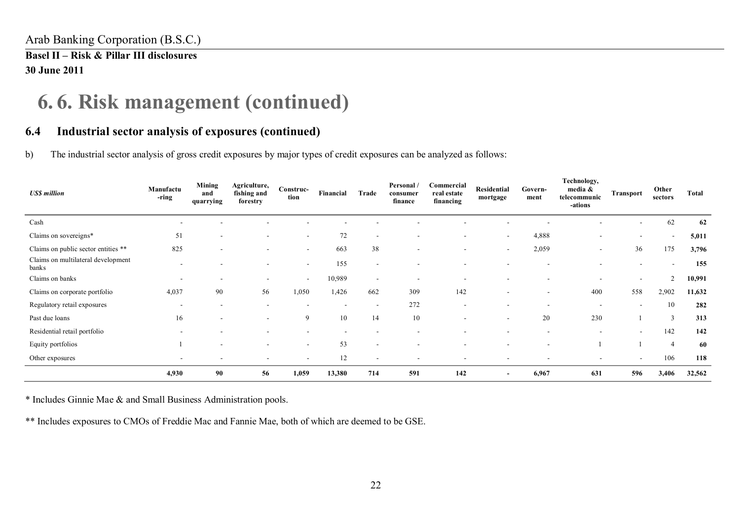## **6. 6. Risk management (continued)**

## **6.4 Industrial sector analysis of exposures (continued)**

b) The industrial sector analysis of gross credit exposures by major types of credit exposures can be analyzed as follows:

| <b>US\$</b> million                         | Manufactu<br>-ring       | Mining<br>and<br>quarrying | Agriculture,<br>fishing and<br>forestry | Construc-<br>tion        | Financial | Trade                    | Personal /<br>consumer<br>finance | Commercial<br>real estate<br>financing | Residential<br>mortgage  | Govern-<br>ment | Technology,<br>media &<br>telecommunic<br>-ations | Transport                | Other<br>sectors         | Total  |
|---------------------------------------------|--------------------------|----------------------------|-----------------------------------------|--------------------------|-----------|--------------------------|-----------------------------------|----------------------------------------|--------------------------|-----------------|---------------------------------------------------|--------------------------|--------------------------|--------|
| Cash                                        |                          |                            |                                         |                          |           |                          |                                   |                                        |                          |                 |                                                   | ۰                        | 62                       | 62     |
| Claims on sovereigns*                       | 51                       | ۰                          | $\overline{\phantom{a}}$                | $\sim$                   | 72        | $\overline{\phantom{a}}$ |                                   | $\overline{\phantom{a}}$               | $\overline{\phantom{a}}$ | 4,888           |                                                   | $\overline{\phantom{0}}$ | $\overline{\phantom{a}}$ | 5,011  |
| Claims on public sector entities **         | 825                      | $\blacksquare$             | $\overline{\phantom{a}}$                | $\sim$                   | 663       | 38                       | $\overline{\phantom{a}}$          |                                        | $\blacksquare$           | 2,059           | $\overline{\phantom{0}}$                          | 36                       | 175                      | 3,796  |
| Claims on multilateral development<br>banks |                          |                            | $\overline{\phantom{a}}$                | $\sim$                   | 155       | $\overline{\phantom{a}}$ |                                   |                                        |                          |                 |                                                   |                          | $\overline{\phantom{a}}$ | 155    |
| Claims on banks                             | $\overline{\phantom{a}}$ |                            | $\overline{\phantom{a}}$                | $\sim$                   | 10,989    | $\overline{\phantom{a}}$ |                                   |                                        |                          |                 |                                                   |                          | 2                        | 10,991 |
| Claims on corporate portfolio               | 4,037                    | 90                         | 56                                      | 1,050                    | 1,426     | 662                      | 309                               | 142                                    |                          |                 | 400                                               | 558                      | 2,902                    | 11,632 |
| Regulatory retail exposures                 | $\overline{\phantom{a}}$ | $\overline{\phantom{a}}$   | $\overline{\phantom{a}}$                |                          |           | $\overline{\phantom{a}}$ | 272                               |                                        | $\overline{\phantom{a}}$ |                 |                                                   | $\overline{\phantom{a}}$ | 10                       | 282    |
| Past due loans                              | 16                       | $\overline{\phantom{a}}$   | $\blacksquare$                          | 9                        | 10        | 14                       | 10                                |                                        | $\overline{\phantom{a}}$ | 20              | 230                                               |                          | 3                        | 313    |
| Residential retail portfolio                |                          |                            | $\overline{\phantom{a}}$                |                          |           |                          |                                   |                                        |                          |                 |                                                   | $\overline{\phantom{a}}$ | 142                      | 142    |
| Equity portfolios                           |                          | $\overline{\phantom{a}}$   | $\overline{\phantom{a}}$                | $\overline{\phantom{a}}$ | 53        | $\overline{\phantom{a}}$ |                                   |                                        |                          |                 |                                                   |                          | $\overline{4}$           | 60     |
| Other exposures                             | $\sim$                   | $\overline{\phantom{a}}$   | $\overline{\phantom{a}}$                |                          | 12        | $\overline{\phantom{a}}$ | $\overline{\phantom{a}}$          |                                        | $\overline{\phantom{0}}$ |                 | $\overline{\phantom{0}}$                          | $\sim$                   | 106                      | 118    |
|                                             | 4,930                    | 90                         | 56                                      | 1,059                    | 13,380    | 714                      | 591                               | 142                                    | $\overline{\phantom{a}}$ | 6,967           | 631                                               | 596                      | 3,406                    | 32,562 |

\* Includes Ginnie Mae & and Small Business Administration pools.

\*\* Includes exposures to CMOs of Freddie Mac and Fannie Mae, both of which are deemed to be GSE.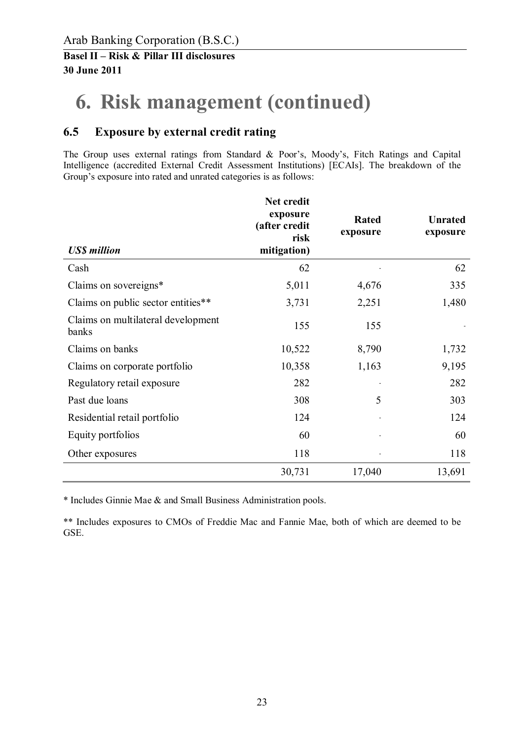# **6. Risk management (continued)**

## **6.5 Exposure by external credit rating**

The Group uses external ratings from Standard & Poor's, Moody's, Fitch Ratings and Capital Intelligence (accredited External Credit Assessment Institutions) [ECAIs]. The breakdown of the Group's exposure into rated and unrated categories is as follows:

| <b>US\$</b> million                         | Net credit<br>exposure<br>(after credit<br>risk<br>mitigation) | Rated<br>exposure | <b>Unrated</b><br>exposure |
|---------------------------------------------|----------------------------------------------------------------|-------------------|----------------------------|
| Cash                                        | 62                                                             |                   | 62                         |
| Claims on sovereigns*                       | 5,011                                                          | 4,676             | 335                        |
| Claims on public sector entities**          | 3,731                                                          | 2,251             | 1,480                      |
| Claims on multilateral development<br>banks | 155                                                            | 155               |                            |
| Claims on banks                             | 10,522                                                         | 8,790             | 1,732                      |
| Claims on corporate portfolio               | 10,358                                                         | 1,163             | 9,195                      |
| Regulatory retail exposure                  | 282                                                            |                   | 282                        |
| Past due loans                              | 308                                                            | 5                 | 303                        |
| Residential retail portfolio                | 124                                                            |                   | 124                        |
| Equity portfolios                           | 60                                                             |                   | 60                         |
| Other exposures                             | 118                                                            |                   | 118                        |
|                                             | 30,731                                                         | 17,040            | 13,691                     |

\* Includes Ginnie Mae & and Small Business Administration pools.

\*\* Includes exposures to CMOs of Freddie Mac and Fannie Mae, both of which are deemed to be GSE.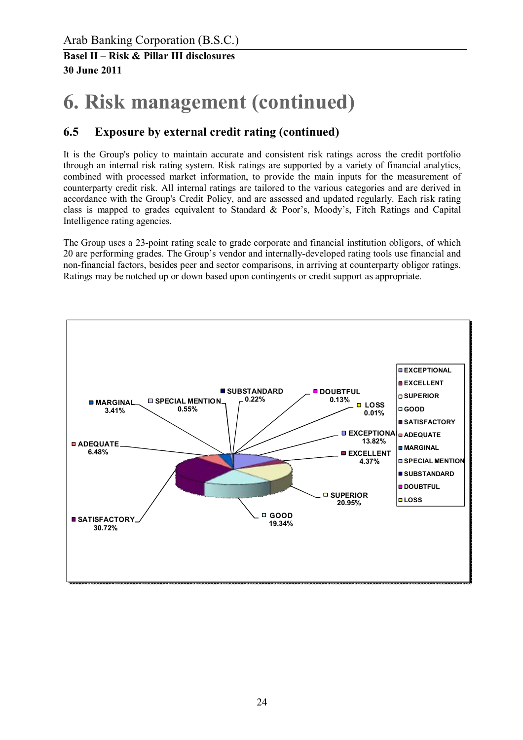# **6. Risk management (continued)**

## **6.5 Exposure by external credit rating (continued)**

It is the Group's policy to maintain accurate and consistent risk ratings across the credit portfolio through an internal risk rating system. Risk ratings are supported by a variety of financial analytics, combined with processed market information, to provide the main inputs for the measurement of counterparty credit risk. All internal ratings are tailored to the various categories and are derived in accordance with the Group's Credit Policy, and are assessed and updated regularly. Each risk rating class is mapped to grades equivalent to Standard & Poor's, Moody's, Fitch Ratings and Capital Intelligence rating agencies.

The Group uses a 23-point rating scale to grade corporate and financial institution obligors, of which 20 are performing grades. The Group's vendor and internally-developed rating tools use financial and non-financial factors, besides peer and sector comparisons, in arriving at counterparty obligor ratings. Ratings may be notched up or down based upon contingents or credit support as appropriate.

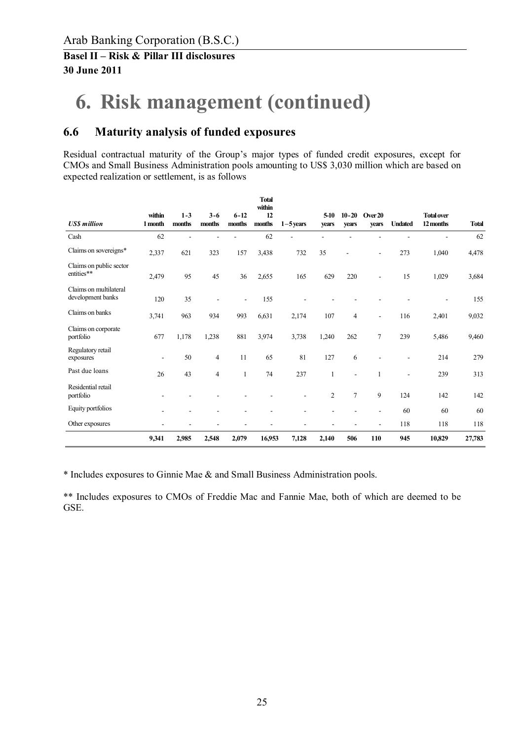# **6. Risk management (continued)**

### **6.6 Maturity analysis of funded exposures**

Residual contractual maturity of the Group's major types of funded credit exposures, except for CMOs and Small Business Administration pools amounting to US\$ 3,030 million which are based on expected realization or settlement, is as follows

|                                             |                   |                   |                   |                    | <b>Total</b><br>within |             |                |                          |                          |                |                                |              |
|---------------------------------------------|-------------------|-------------------|-------------------|--------------------|------------------------|-------------|----------------|--------------------------|--------------------------|----------------|--------------------------------|--------------|
| <b>USS</b> million                          | within<br>1 month | $1 - 3$<br>months | $3 - 6$<br>months | $6 - 12$<br>months | 12<br>months           | $1-5$ years | 5-10<br>years  | $10 - 20$<br>vears       | Over 20<br>years         | <b>Undated</b> | <b>Total over</b><br>12 months | <b>Total</b> |
| Cash                                        | 62                |                   |                   |                    | 62                     |             |                |                          |                          |                |                                | 62           |
| Claims on sovereigns*                       | 2,337             | 621               | 323               | 157                | 3,438                  | 732         | 35             | Ē,                       |                          | 273            | 1,040                          | 4,478        |
| Claims on public sector<br>entities**       | 2,479             | 95                | 45                | 36                 | 2,655                  | 165         | 629            | 220                      |                          | 15             | 1,029                          | 3,684        |
| Claims on multilateral<br>development banks | 120               | 35                |                   |                    | 155                    |             |                |                          |                          |                |                                | 155          |
| Claims on banks                             | 3,741             | 963               | 934               | 993                | 6,631                  | 2,174       | 107            | $\overline{4}$           | $\overline{\phantom{a}}$ | 116            | 2,401                          | 9,032        |
| Claims on corporate<br>portfolio            | 677               | 1,178             | 1,238             | 881                | 3,974                  | 3,738       | 1,240          | 262                      | $\overline{7}$           | 239            | 5,486                          | 9,460        |
| Regulatory retail<br>exposures              | ٠                 | 50                | $\overline{4}$    | 11                 | 65                     | 81          | 127            | 6                        |                          |                | 214                            | 279          |
| Past due loans                              | 26                | 43                | $\overline{4}$    | 1                  | 74                     | 237         | $\mathbf{1}$   | $\overline{\phantom{a}}$ |                          |                | 239                            | 313          |
| Residential retail<br>portfolio             |                   |                   |                   |                    |                        | ÷           | $\overline{2}$ | $\overline{7}$           | 9                        | 124            | 142                            | 142          |
| Equity portfolios                           |                   |                   |                   |                    |                        |             |                |                          |                          | 60             | 60                             | 60           |
| Other exposures                             |                   |                   |                   |                    |                        |             |                |                          |                          | 118            | 118                            | 118          |
|                                             | 9,341             | 2,985             | 2,548             | 2,079              | 16,953                 | 7,128       | 2,140          | 506                      | 110                      | 945            | 10,829                         | 27,783       |

\* Includes exposures to Ginnie Mae & and Small Business Administration pools.

\*\* Includes exposures to CMOs of Freddie Mac and Fannie Mae, both of which are deemed to be GSE.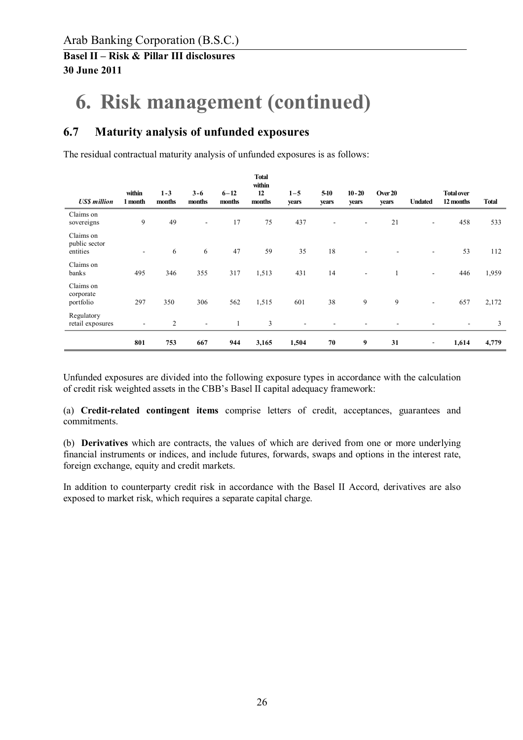# **6. Risk management (continued)**

### **6.7 Maturity analysis of unfunded exposures**

The residual contractual maturity analysis of unfunded exposures is as follows:

| <b>USS</b> million                     | within<br>1 month | $1 - 3$<br>months | $3 - 6$<br>months | $6 - 12$<br>months | <b>Total</b><br>within<br>12<br>months | $1 - 5$<br>years | $5-10$<br>years | $10 - 20$<br>years       | Over 20<br>years | <b>Undated</b>           | <b>Total over</b><br>12 months | <b>Total</b> |
|----------------------------------------|-------------------|-------------------|-------------------|--------------------|----------------------------------------|------------------|-----------------|--------------------------|------------------|--------------------------|--------------------------------|--------------|
| Claims on<br>sovereigns                | 9                 | 49                | ۰                 | 17                 | 75                                     | 437              |                 |                          | 21               | $\overline{\phantom{a}}$ | 458                            | 533          |
| Claims on<br>public sector<br>entities | $\sim$            | 6                 | 6                 | 47                 | 59                                     | 35               | 18              |                          |                  | ٠                        | 53                             | 112          |
| Claims on<br>banks                     | 495               | 346               | 355               | 317                | 1,513                                  | 431              | 14              | $\overline{\phantom{a}}$ |                  | $\blacksquare$           | 446                            | 1,959        |
| Claims on<br>corporate<br>portfolio    | 297               | 350               | 306               | 562                | 1,515                                  | 601              | 38              | 9                        | 9                | $\blacksquare$           | 657                            | 2,172        |
| Regulatory<br>retail exposures         | $\blacksquare$    | $\overline{2}$    | ۰                 |                    | 3                                      |                  |                 |                          |                  |                          | ۰                              | 3            |
|                                        | 801               | 753               | 667               | 944                | 3,165                                  | 1,504            | 70              | 9                        | 31               | $\overline{\phantom{a}}$ | 1,614                          | 4,779        |

Unfunded exposures are divided into the following exposure types in accordance with the calculation of credit risk weighted assets in the CBB's Basel II capital adequacy framework:

(a) **Credit-related contingent items** comprise letters of credit, acceptances, guarantees and commitments.

(b) **Derivatives** which are contracts, the values of which are derived from one or more underlying financial instruments or indices, and include futures, forwards, swaps and options in the interest rate, foreign exchange, equity and credit markets.

In addition to counterparty credit risk in accordance with the Basel II Accord, derivatives are also exposed to market risk, which requires a separate capital charge.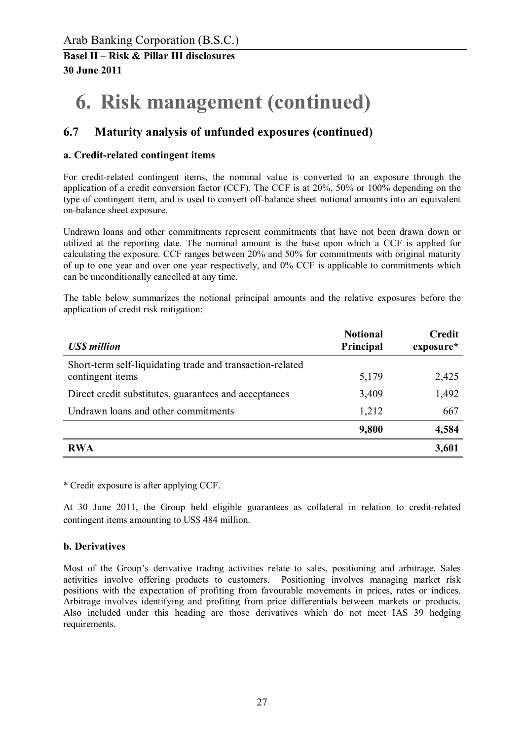# **6. Risk management (continued)**

## **6.7 Maturity analysis of unfunded exposures (continued)**

#### **a. Credit-related contingent items**

For credit-related contingent items, the nominal value is converted to an exposure through the application of a credit conversion factor (CCF). The CCF is at 20%, 50% or 100% depending on the type of contingent item, and is used to convert off-balance sheet notional amounts into an equivalent on-balance sheet exposure.

Undrawn loans and other commitments represent commitments that have not been drawn down or utilized at the reporting date. The nominal amount is the base upon which a CCF is applied for calculating the exposure. CCF ranges between 20% and 50% for commitments with original maturity of up to one year and over one year respectively, and 0% CCF is applicable to commitments which can be unconditionally cancelled at any time.

The table below summarizes the notional principal amounts and the relative exposures before the application of credit risk mitigation:

| <b>US\$</b> million                                                           | <b>Notional</b><br>Principal | Credit<br>exposure* |
|-------------------------------------------------------------------------------|------------------------------|---------------------|
| Short-term self-liquidating trade and transaction-related<br>contingent items | 5,179                        | 2,425               |
| Direct credit substitutes, guarantees and acceptances                         | 3,409                        | 1,492               |
| Undrawn loans and other commitments                                           | 1,212                        | 667                 |
|                                                                               | 9,800                        | 4,584               |
| <b>RWA</b>                                                                    |                              | 3,601               |

\* Credit exposure is after applying CCF.

At 30 June 2011, the Group held eligible guarantees as collateral in relation to credit-related contingent items amounting to US\$ 484 million.

#### **b. Derivatives**

Most of the Group's derivative trading activities relate to sales, positioning and arbitrage. Sales activities involve offering products to customers. Positioning involves managing market risk positions with the expectation of profiting from favourable movements in prices, rates or indices. Arbitrage involves identifying and profiting from price differentials between markets or products. Also included under this heading are those derivatives which do not meet IAS 39 hedging requirements.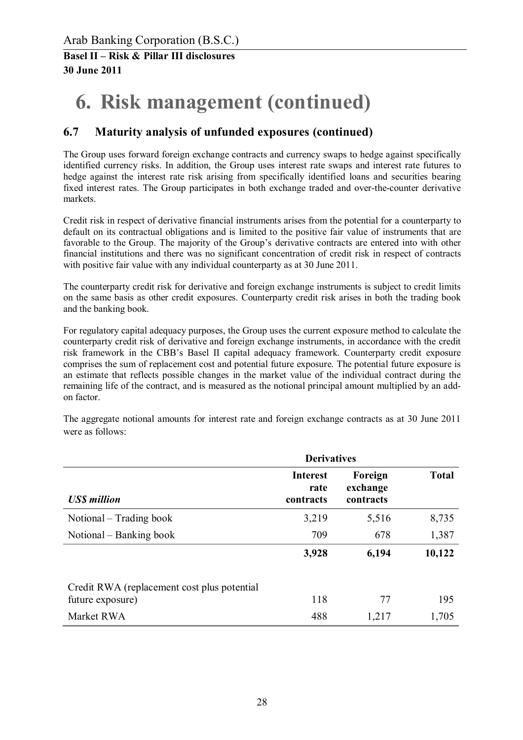# **6. Risk management (continued)**

## **6.7 Maturity analysis of unfunded exposures (continued)**

The Group uses forward foreign exchange contracts and currency swaps to hedge against specifically identified currency risks. In addition, the Group uses interest rate swaps and interest rate futures to hedge against the interest rate risk arising from specifically identified loans and securities bearing fixed interest rates. The Group participates in both exchange traded and over-the-counter derivative markets.

Credit risk in respect of derivative financial instruments arises from the potential for a counterparty to default on its contractual obligations and is limited to the positive fair value of instruments that are favorable to the Group. The majority of the Group's derivative contracts are entered into with other financial institutions and there was no significant concentration of credit risk in respect of contracts with positive fair value with any individual counterparty as at 30 June 2011.

The counterparty credit risk for derivative and foreign exchange instruments is subject to credit limits on the same basis as other credit exposures. Counterparty credit risk arises in both the trading book and the banking book.

For regulatory capital adequacy purposes, the Group uses the current exposure method to calculate the counterparty credit risk of derivative and foreign exchange instruments, in accordance with the credit risk framework in the CBB's Basel II capital adequacy framework. Counterparty credit exposure comprises the sum of replacement cost and potential future exposure. The potential future exposure is an estimate that reflects possible changes in the market value of the individual contract during the remaining life of the contract, and is measured as the notional principal amount multiplied by an addon factor.

The aggregate notional amounts for interest rate and foreign exchange contracts as at 30 June 2011 were as follows:

|                                                                  | <b>Derivatives</b>                   |                                  |              |  |  |
|------------------------------------------------------------------|--------------------------------------|----------------------------------|--------------|--|--|
| <b>USS</b> million                                               | <b>Interest</b><br>rate<br>contracts | Foreign<br>exchange<br>contracts | <b>Total</b> |  |  |
| Notional – Trading book                                          | 3,219                                | 5,516                            | 8,735        |  |  |
| Notional – Banking book                                          | 709                                  | 678                              | 1,387        |  |  |
|                                                                  | 3,928                                | 6,194                            | 10,122       |  |  |
| Credit RWA (replacement cost plus potential)<br>future exposure) | 118                                  | 77                               | 195          |  |  |
| Market RWA                                                       | 488                                  | 1,217                            | 1,705        |  |  |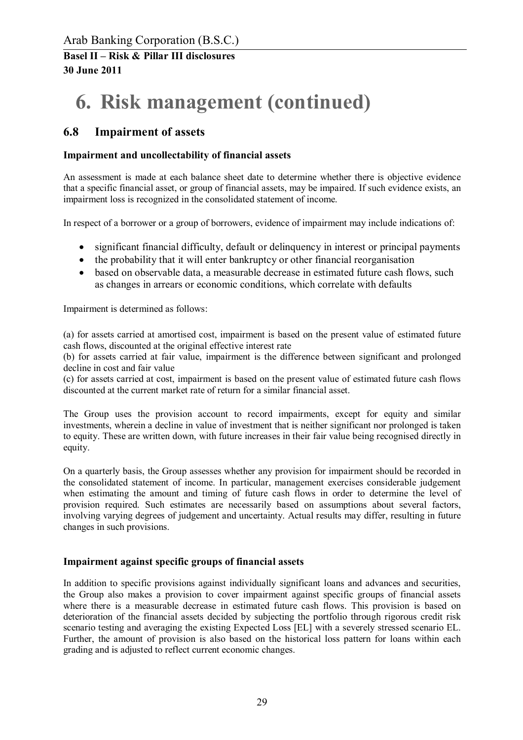# **6. Risk management (continued)**

## **6.8 Impairment of assets**

#### **Impairment and uncollectability of financial assets**

An assessment is made at each balance sheet date to determine whether there is objective evidence that a specific financial asset, or group of financial assets, may be impaired. If such evidence exists, an impairment loss is recognized in the consolidated statement of income.

In respect of a borrower or a group of borrowers, evidence of impairment may include indications of:

- significant financial difficulty, default or delinquency in interest or principal payments
- the probability that it will enter bankruptcy or other financial reorganisation
- based on observable data, a measurable decrease in estimated future cash flows, such as changes in arrears or economic conditions, which correlate with defaults

Impairment is determined as follows:

(a) for assets carried at amortised cost, impairment is based on the present value of estimated future cash flows, discounted at the original effective interest rate

(b) for assets carried at fair value, impairment is the difference between significant and prolonged decline in cost and fair value

(c) for assets carried at cost, impairment is based on the present value of estimated future cash flows discounted at the current market rate of return for a similar financial asset.

The Group uses the provision account to record impairments, except for equity and similar investments, wherein a decline in value of investment that is neither significant nor prolonged is taken to equity. These are written down, with future increases in their fair value being recognised directly in equity.

On a quarterly basis, the Group assesses whether any provision for impairment should be recorded in the consolidated statement of income. In particular, management exercises considerable judgement when estimating the amount and timing of future cash flows in order to determine the level of provision required. Such estimates are necessarily based on assumptions about several factors, involving varying degrees of judgement and uncertainty. Actual results may differ, resulting in future changes in such provisions.

#### **Impairment against specific groups of financial assets**

In addition to specific provisions against individually significant loans and advances and securities, the Group also makes a provision to cover impairment against specific groups of financial assets where there is a measurable decrease in estimated future cash flows. This provision is based on deterioration of the financial assets decided by subjecting the portfolio through rigorous credit risk scenario testing and averaging the existing Expected Loss [EL] with a severely stressed scenario EL. Further, the amount of provision is also based on the historical loss pattern for loans within each grading and is adjusted to reflect current economic changes.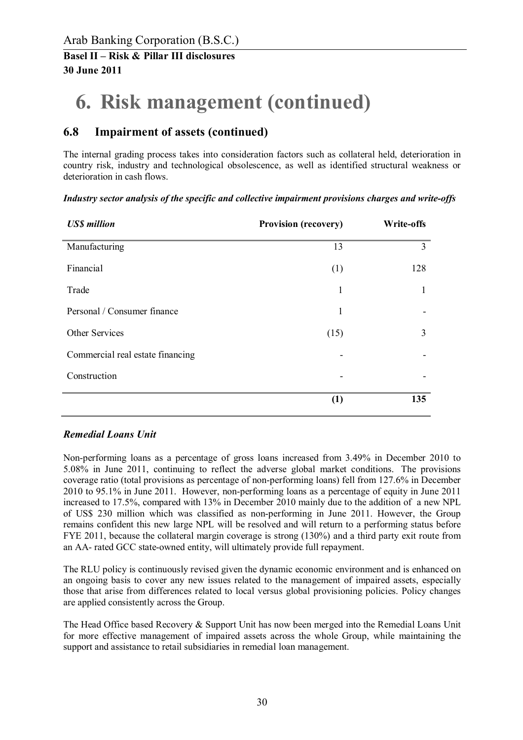# **6. Risk management (continued)**

## **6.8 Impairment of assets (continued)**

The internal grading process takes into consideration factors such as collateral held, deterioration in country risk, industry and technological obsolescence, as well as identified structural weakness or deterioration in cash flows.

*Industry sector analysis of the specific and collective impairment provisions charges and write-offs* 

| <b>US\$</b> million              | <b>Provision (recovery)</b> | Write-offs |
|----------------------------------|-----------------------------|------------|
| Manufacturing                    | 13                          | 3          |
| Financial                        | (1)                         | 128        |
| Trade                            | 1                           | 1          |
| Personal / Consumer finance      | $\mathbf{1}$                |            |
| Other Services                   | (15)                        | 3          |
| Commercial real estate financing |                             |            |
| Construction                     |                             |            |
|                                  | (1)                         | 135        |

#### *Remedial Loans Unit*

Non-performing loans as a percentage of gross loans increased from 3.49% in December 2010 to 5.08% in June 2011, continuing to reflect the adverse global market conditions. The provisions coverage ratio (total provisions as percentage of non-performing loans) fell from 127.6% in December 2010 to 95.1% in June 2011. However, non-performing loans as a percentage of equity in June 2011 increased to 17.5%, compared with 13% in December 2010 mainly due to the addition of a new NPL of US\$ 230 million which was classified as non-performing in June 2011. However, the Group remains confident this new large NPL will be resolved and will return to a performing status before FYE 2011, because the collateral margin coverage is strong (130%) and a third party exit route from an AA- rated GCC state-owned entity, will ultimately provide full repayment.

The RLU policy is continuously revised given the dynamic economic environment and is enhanced on an ongoing basis to cover any new issues related to the management of impaired assets, especially those that arise from differences related to local versus global provisioning policies. Policy changes are applied consistently across the Group.

The Head Office based Recovery & Support Unit has now been merged into the Remedial Loans Unit for more effective management of impaired assets across the whole Group, while maintaining the support and assistance to retail subsidiaries in remedial loan management.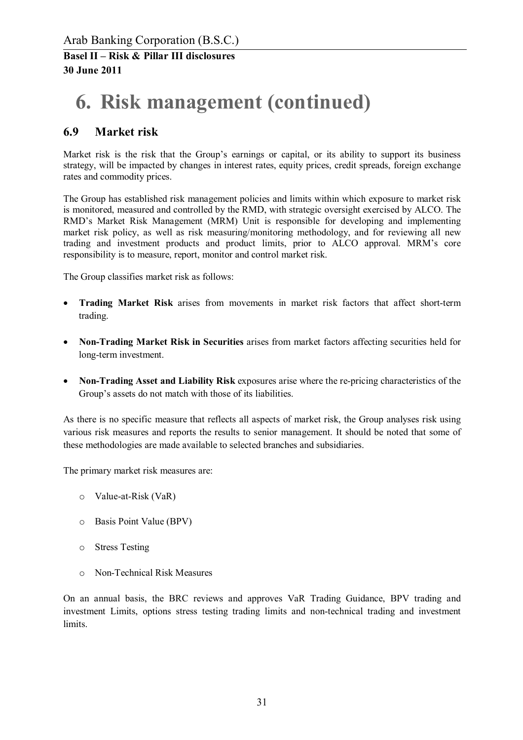# **6. Risk management (continued)**

## **6.9 Market risk**

Market risk is the risk that the Group's earnings or capital, or its ability to support its business strategy, will be impacted by changes in interest rates, equity prices, credit spreads, foreign exchange rates and commodity prices.

The Group has established risk management policies and limits within which exposure to market risk is monitored, measured and controlled by the RMD, with strategic oversight exercised by ALCO. The RMD's Market Risk Management (MRM) Unit is responsible for developing and implementing market risk policy, as well as risk measuring/monitoring methodology, and for reviewing all new trading and investment products and product limits, prior to ALCO approval. MRM's core responsibility is to measure, report, monitor and control market risk.

The Group classifies market risk as follows:

- · **Trading Market Risk** arises from movements in market risk factors that affect short-term trading.
- · **Non-Trading Market Risk in Securities** arises from market factors affecting securities held for long-term investment.
- · **Non-Trading Asset and Liability Risk** exposures arise where the re-pricing characteristics of the Group's assets do not match with those of its liabilities.

As there is no specific measure that reflects all aspects of market risk, the Group analyses risk using various risk measures and reports the results to senior management. It should be noted that some of these methodologies are made available to selected branches and subsidiaries.

The primary market risk measures are:

- o Value-at-Risk (VaR)
- o Basis Point Value (BPV)
- o Stress Testing
- o Non-Technical Risk Measures

On an annual basis, the BRC reviews and approves VaR Trading Guidance, BPV trading and investment Limits, options stress testing trading limits and non-technical trading and investment limits.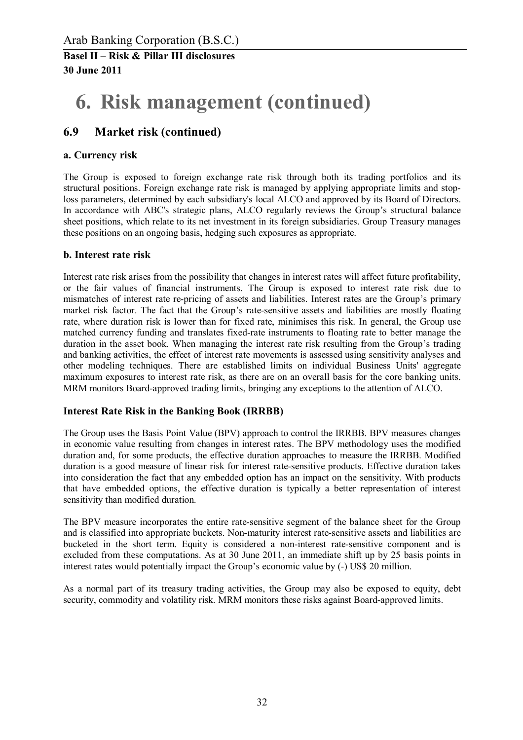# **6. Risk management (continued)**

### **6.9 Market risk (continued)**

#### **a. Currency risk**

The Group is exposed to foreign exchange rate risk through both its trading portfolios and its structural positions. Foreign exchange rate risk is managed by applying appropriate limits and stoploss parameters, determined by each subsidiary's local ALCO and approved by its Board of Directors. In accordance with ABC's strategic plans, ALCO regularly reviews the Group's structural balance sheet positions, which relate to its net investment in its foreign subsidiaries. Group Treasury manages these positions on an ongoing basis, hedging such exposures as appropriate.

#### **b. Interest rate risk**

Interest rate risk arises from the possibility that changes in interest rates will affect future profitability, or the fair values of financial instruments. The Group is exposed to interest rate risk due to mismatches of interest rate re-pricing of assets and liabilities. Interest rates are the Group's primary market risk factor. The fact that the Group's rate-sensitive assets and liabilities are mostly floating rate, where duration risk is lower than for fixed rate, minimises this risk. In general, the Group use matched currency funding and translates fixed-rate instruments to floating rate to better manage the duration in the asset book. When managing the interest rate risk resulting from the Group's trading and banking activities, the effect of interest rate movements is assessed using sensitivity analyses and other modeling techniques. There are established limits on individual Business Units' aggregate maximum exposures to interest rate risk, as there are on an overall basis for the core banking units. MRM monitors Board-approved trading limits, bringing any exceptions to the attention of ALCO.

#### **Interest Rate Risk in the Banking Book (IRRBB)**

The Group uses the Basis Point Value (BPV) approach to control the IRRBB. BPV measures changes in economic value resulting from changes in interest rates. The BPV methodology uses the modified duration and, for some products, the effective duration approaches to measure the IRRBB. Modified duration is a good measure of linear risk for interest rate-sensitive products. Effective duration takes into consideration the fact that any embedded option has an impact on the sensitivity. With products that have embedded options, the effective duration is typically a better representation of interest sensitivity than modified duration.

The BPV measure incorporates the entire rate-sensitive segment of the balance sheet for the Group and is classified into appropriate buckets. Non-maturity interest rate-sensitive assets and liabilities are bucketed in the short term. Equity is considered a non-interest rate-sensitive component and is excluded from these computations. As at 30 June 2011, an immediate shift up by 25 basis points in interest rates would potentially impact the Group's economic value by (-) US\$ 20 million.

As a normal part of its treasury trading activities, the Group may also be exposed to equity, debt security, commodity and volatility risk. MRM monitors these risks against Board-approved limits.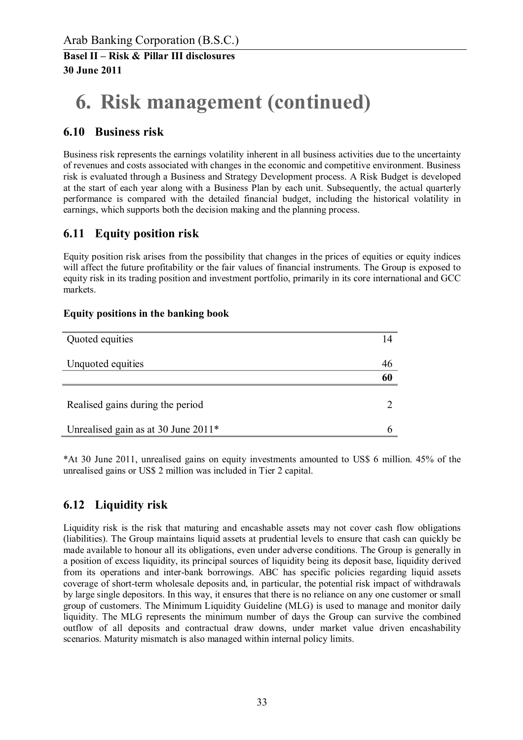# **6. Risk management (continued)**

### **6.10 Business risk**

Business risk represents the earnings volatility inherent in all business activities due to the uncertainty of revenues and costs associated with changes in the economic and competitive environment. Business risk is evaluated through a Business and Strategy Development process. A Risk Budget is developed at the start of each year along with a Business Plan by each unit. Subsequently, the actual quarterly performance is compared with the detailed financial budget, including the historical volatility in earnings, which supports both the decision making and the planning process.

## **6.11 Equity position risk**

Equity position risk arises from the possibility that changes in the prices of equities or equity indices will affect the future profitability or the fair values of financial instruments. The Group is exposed to equity risk in its trading position and investment portfolio, primarily in its core international and GCC markets.

#### **Equity positions in the banking book**

| Quoted equities                     | 14 |
|-------------------------------------|----|
| Unquoted equities                   | 46 |
|                                     | 60 |
| Realised gains during the period    |    |
| Unrealised gain as at 30 June 2011* |    |

\*At 30 June 2011, unrealised gains on equity investments amounted to US\$ 6 million. 45% of the unrealised gains or US\$ 2 million was included in Tier 2 capital.

## **6.12 Liquidity risk**

Liquidity risk is the risk that maturing and encashable assets may not cover cash flow obligations (liabilities). The Group maintains liquid assets at prudential levels to ensure that cash can quickly be made available to honour all its obligations, even under adverse conditions. The Group is generally in a position of excess liquidity, its principal sources of liquidity being its deposit base, liquidity derived from its operations and inter-bank borrowings. ABC has specific policies regarding liquid assets coverage of short-term wholesale deposits and, in particular, the potential risk impact of withdrawals by large single depositors. In this way, it ensures that there is no reliance on any one customer or small group of customers. The Minimum Liquidity Guideline (MLG) is used to manage and monitor daily liquidity. The MLG represents the minimum number of days the Group can survive the combined outflow of all deposits and contractual draw downs, under market value driven encashability scenarios. Maturity mismatch is also managed within internal policy limits.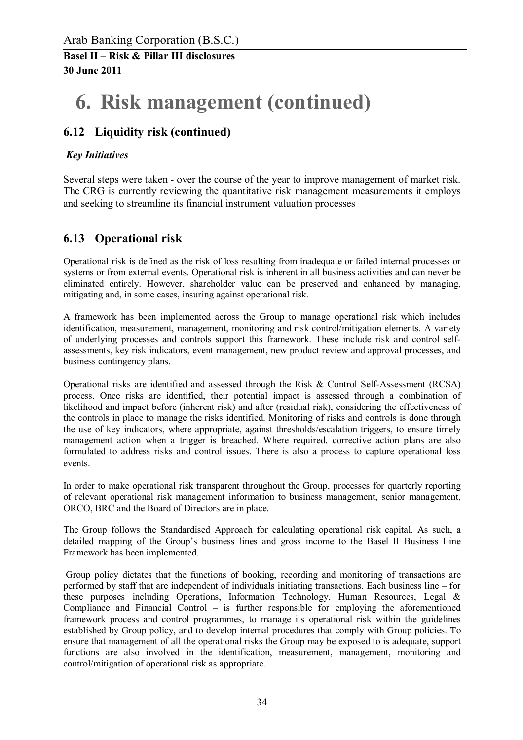## **6. Risk management (continued)**

## **6.12 Liquidity risk (continued)**

#### *Key Initiatives*

Several steps were taken - over the course of the year to improve management of market risk. The CRG is currently reviewing the quantitative risk management measurements it employs and seeking to streamline its financial instrument valuation processes

### **6.13 Operational risk**

Operational risk is defined as the risk of loss resulting from inadequate or failed internal processes or systems or from external events. Operational risk is inherent in all business activities and can never be eliminated entirely. However, shareholder value can be preserved and enhanced by managing, mitigating and, in some cases, insuring against operational risk.

A framework has been implemented across the Group to manage operational risk which includes identification, measurement, management, monitoring and risk control/mitigation elements. A variety of underlying processes and controls support this framework. These include risk and control selfassessments, key risk indicators, event management, new product review and approval processes, and business contingency plans.

Operational risks are identified and assessed through the Risk & Control Self-Assessment (RCSA) process. Once risks are identified, their potential impact is assessed through a combination of likelihood and impact before (inherent risk) and after (residual risk), considering the effectiveness of the controls in place to manage the risks identified. Monitoring of risks and controls is done through the use of key indicators, where appropriate, against thresholds/escalation triggers, to ensure timely management action when a trigger is breached. Where required, corrective action plans are also formulated to address risks and control issues. There is also a process to capture operational loss events.

In order to make operational risk transparent throughout the Group, processes for quarterly reporting of relevant operational risk management information to business management, senior management, ORCO, BRC and the Board of Directors are in place.

The Group follows the Standardised Approach for calculating operational risk capital. As such, a detailed mapping of the Group's business lines and gross income to the Basel II Business Line Framework has been implemented.

Group policy dictates that the functions of booking, recording and monitoring of transactions are performed by staff that are independent of individuals initiating transactions. Each business line – for these purposes including Operations, Information Technology, Human Resources, Legal & Compliance and Financial Control – is further responsible for employing the aforementioned framework process and control programmes, to manage its operational risk within the guidelines established by Group policy, and to develop internal procedures that comply with Group policies. To ensure that management of all the operational risks the Group may be exposed to is adequate, support functions are also involved in the identification, measurement, management, monitoring and control/mitigation of operational risk as appropriate.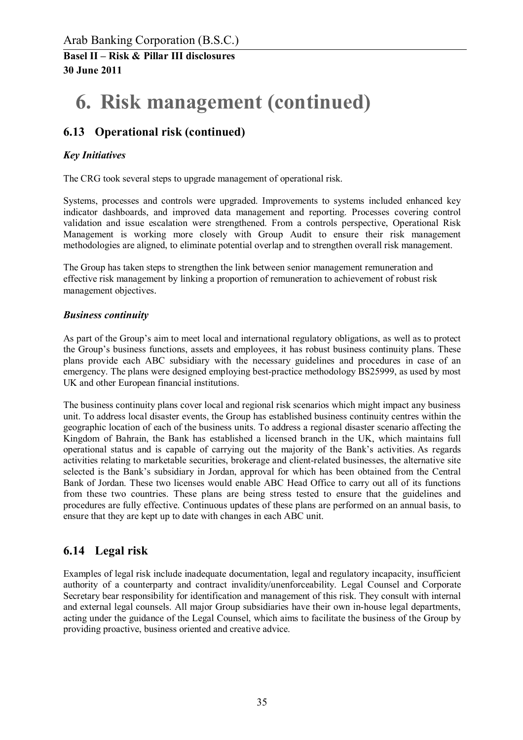# **6. Risk management (continued)**

## **6.13 Operational risk (continued)**

#### *Key Initiatives*

The CRG took several steps to upgrade management of operational risk.

Systems, processes and controls were upgraded. Improvements to systems included enhanced key indicator dashboards, and improved data management and reporting. Processes covering control validation and issue escalation were strengthened. From a controls perspective, Operational Risk Management is working more closely with Group Audit to ensure their risk management methodologies are aligned, to eliminate potential overlap and to strengthen overall risk management.

The Group has taken steps to strengthen the link between senior management remuneration and effective risk management by linking a proportion of remuneration to achievement of robust risk management objectives.

#### *Business continuity*

As part of the Group's aim to meet local and international regulatory obligations, as well as to protect the Group's business functions, assets and employees, it has robust business continuity plans. These plans provide each ABC subsidiary with the necessary guidelines and procedures in case of an emergency. The plans were designed employing best-practice methodology BS25999, as used by most UK and other European financial institutions.

The business continuity plans cover local and regional risk scenarios which might impact any business unit. To address local disaster events, the Group has established business continuity centres within the geographic location of each of the business units. To address a regional disaster scenario affecting the Kingdom of Bahrain, the Bank has established a licensed branch in the UK, which maintains full operational status and is capable of carrying out the majority of the Bank's activities. As regards activities relating to marketable securities, brokerage and client-related businesses, the alternative site selected is the Bank's subsidiary in Jordan, approval for which has been obtained from the Central Bank of Jordan. These two licenses would enable ABC Head Office to carry out all of its functions from these two countries. These plans are being stress tested to ensure that the guidelines and procedures are fully effective. Continuous updates of these plans are performed on an annual basis, to ensure that they are kept up to date with changes in each ABC unit.

## **6.14 Legal risk**

Examples of legal risk include inadequate documentation, legal and regulatory incapacity, insufficient authority of a counterparty and contract invalidity/unenforceability. Legal Counsel and Corporate Secretary bear responsibility for identification and management of this risk. They consult with internal and external legal counsels. All major Group subsidiaries have their own in-house legal departments, acting under the guidance of the Legal Counsel, which aims to facilitate the business of the Group by providing proactive, business oriented and creative advice.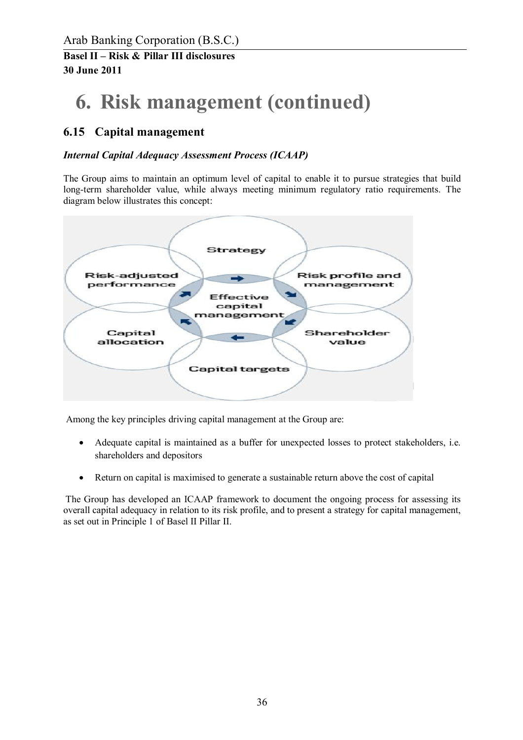# **6. Risk management (continued)**

## **6.15 Capital management**

### *Internal Capital Adequacy Assessment Process (ICAAP)*

The Group aims to maintain an optimum level of capital to enable it to pursue strategies that build long-term shareholder value, while always meeting minimum regulatory ratio requirements. The diagram below illustrates this concept:



Among the key principles driving capital management at the Group are:

- · Adequate capital is maintained as a buffer for unexpected losses to protect stakeholders, i.e. shareholders and depositors
- · Return on capital is maximised to generate a sustainable return above the cost of capital

The Group has developed an ICAAP framework to document the ongoing process for assessing its overall capital adequacy in relation to its risk profile, and to present a strategy for capital management, as set out in Principle 1 of Basel II Pillar II.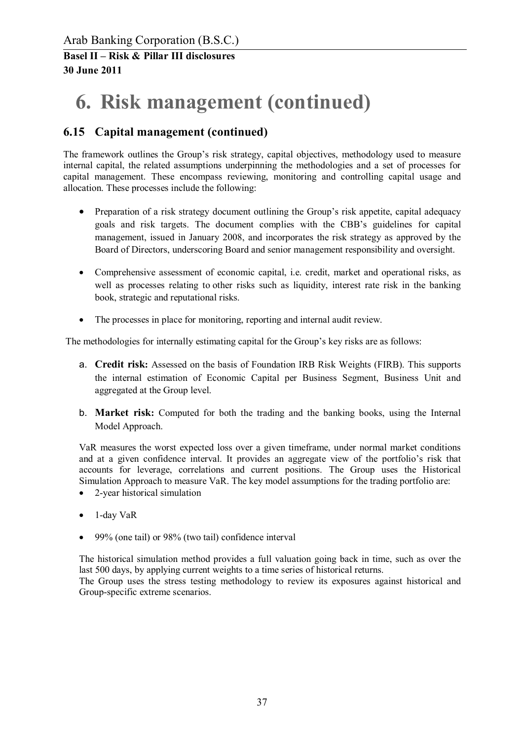# **6. Risk management (continued)**

## **6.15 Capital management (continued)**

The framework outlines the Group's risk strategy, capital objectives, methodology used to measure internal capital, the related assumptions underpinning the methodologies and a set of processes for capital management. These encompass reviewing, monitoring and controlling capital usage and allocation. These processes include the following:

- Preparation of a risk strategy document outlining the Group's risk appetite, capital adequacy goals and risk targets. The document complies with the CBB's guidelines for capital management, issued in January 2008, and incorporates the risk strategy as approved by the Board of Directors, underscoring Board and senior management responsibility and oversight.
- · Comprehensive assessment of economic capital, i.e. credit, market and operational risks, as well as processes relating to other risks such as liquidity, interest rate risk in the banking book, strategic and reputational risks.
- · The processes in place for monitoring, reporting and internal audit review.

The methodologies for internally estimating capital for the Group's key risks are as follows:

- a. **Credit risk:** Assessed on the basis of Foundation IRB Risk Weights (FIRB). This supports the internal estimation of Economic Capital per Business Segment, Business Unit and aggregated at the Group level.
- b. **Market risk:** Computed for both the trading and the banking books, using the Internal Model Approach.

VaR measures the worst expected loss over a given timeframe, under normal market conditions and at a given confidence interval. It provides an aggregate view of the portfolio's risk that accounts for leverage, correlations and current positions. The Group uses the Historical Simulation Approach to measure VaR. The key model assumptions for the trading portfolio are:

- 2-year historical simulation
- · 1-day VaR
- 99% (one tail) or 98% (two tail) confidence interval

The historical simulation method provides a full valuation going back in time, such as over the last 500 days, by applying current weights to a time series of historical returns. The Group uses the stress testing methodology to review its exposures against historical and

Group-specific extreme scenarios.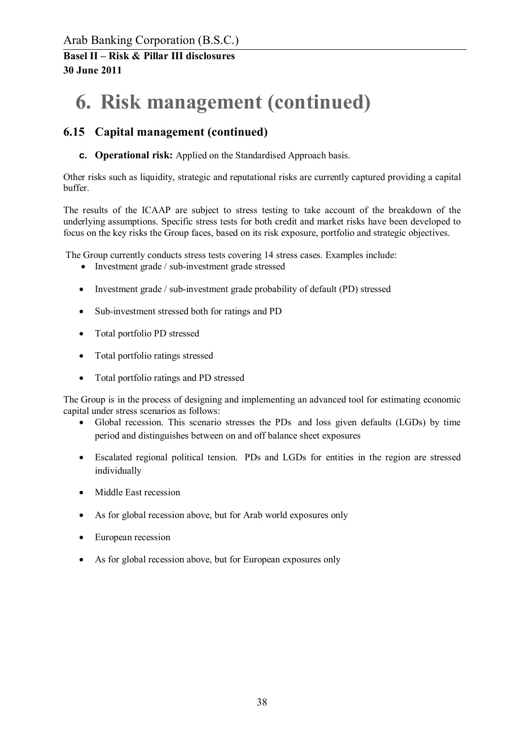# **6. Risk management (continued)**

## **6.15 Capital management (continued)**

**c. Operational risk:** Applied on the Standardised Approach basis.

Other risks such as liquidity, strategic and reputational risks are currently captured providing a capital buffer.

The results of the ICAAP are subject to stress testing to take account of the breakdown of the underlying assumptions. Specific stress tests for both credit and market risks have been developed to focus on the key risks the Group faces, based on its risk exposure, portfolio and strategic objectives.

The Group currently conducts stress tests covering 14 stress cases. Examples include:

- Investment grade / sub-investment grade stressed
- · Investment grade / sub-investment grade probability of default (PD) stressed
- · Sub-investment stressed both for ratings and PD
- Total portfolio PD stressed
- Total portfolio ratings stressed
- · Total portfolio ratings and PD stressed

The Group is in the process of designing and implementing an advanced tool for estimating economic capital under stress scenarios as follows:

- Global recession. This scenario stresses the PDs and loss given defaults (LGDs) by time period and distinguishes between on and off balance sheet exposures
- · Escalated regional political tension. PDs and LGDs for entities in the region are stressed individually
- Middle East recession
- As for global recession above, but for Arab world exposures only
- European recession
- As for global recession above, but for European exposures only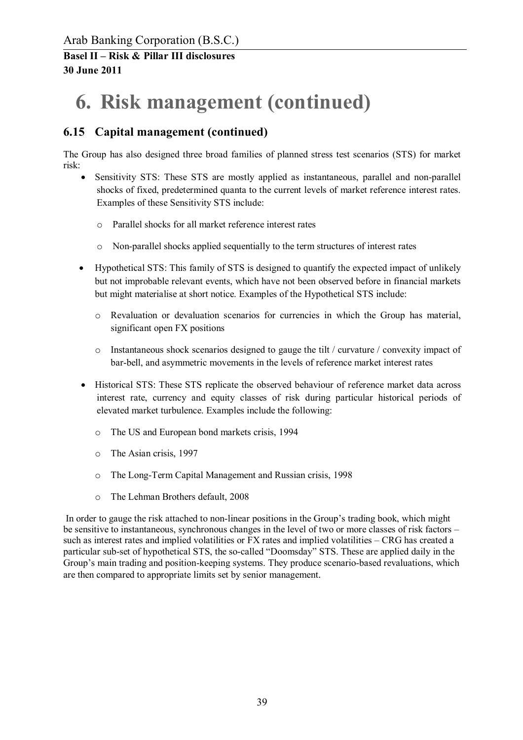# **6. Risk management (continued)**

## **6.15 Capital management (continued)**

The Group has also designed three broad families of planned stress test scenarios (STS) for market risk:

- Sensitivity STS: These STS are mostly applied as instantaneous, parallel and non-parallel shocks of fixed, predetermined quanta to the current levels of market reference interest rates. Examples of these Sensitivity STS include:
	- o Parallel shocks for all market reference interest rates
	- o Non-parallel shocks applied sequentially to the term structures of interest rates
- · Hypothetical STS: This family of STS is designed to quantify the expected impact of unlikely but not improbable relevant events, which have not been observed before in financial markets but might materialise at short notice. Examples of the Hypothetical STS include:
	- o Revaluation or devaluation scenarios for currencies in which the Group has material, significant open FX positions
	- o Instantaneous shock scenarios designed to gauge the tilt / curvature / convexity impact of bar-bell, and asymmetric movements in the levels of reference market interest rates
- · Historical STS: These STS replicate the observed behaviour of reference market data across interest rate, currency and equity classes of risk during particular historical periods of elevated market turbulence. Examples include the following:
	- o The US and European bond markets crisis, 1994
	- o The Asian crisis, 1997
	- o The Long-Term Capital Management and Russian crisis, 1998
	- o The Lehman Brothers default, 2008

In order to gauge the risk attached to non-linear positions in the Group's trading book, which might be sensitive to instantaneous, synchronous changes in the level of two or more classes of risk factors – such as interest rates and implied volatilities or FX rates and implied volatilities – CRG has created a particular sub-set of hypothetical STS, the so-called "Doomsday" STS. These are applied daily in the Group's main trading and position-keeping systems. They produce scenario-based revaluations, which are then compared to appropriate limits set by senior management.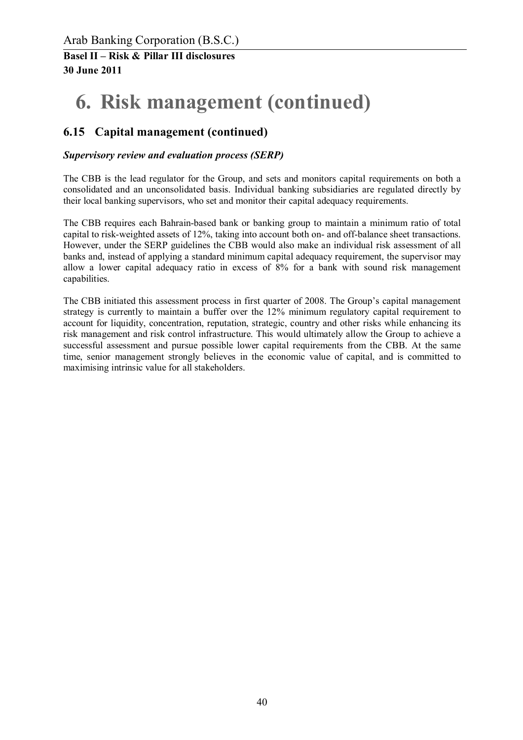# **6. Risk management (continued)**

## **6.15 Capital management (continued)**

### *Supervisory review and evaluation process (SERP)*

The CBB is the lead regulator for the Group, and sets and monitors capital requirements on both a consolidated and an unconsolidated basis. Individual banking subsidiaries are regulated directly by their local banking supervisors, who set and monitor their capital adequacy requirements.

The CBB requires each Bahrain-based bank or banking group to maintain a minimum ratio of total capital to risk-weighted assets of 12%, taking into account both on- and off-balance sheet transactions. However, under the SERP guidelines the CBB would also make an individual risk assessment of all banks and, instead of applying a standard minimum capital adequacy requirement, the supervisor may allow a lower capital adequacy ratio in excess of 8% for a bank with sound risk management capabilities.

The CBB initiated this assessment process in first quarter of 2008. The Group's capital management strategy is currently to maintain a buffer over the 12% minimum regulatory capital requirement to account for liquidity, concentration, reputation, strategic, country and other risks while enhancing its risk management and risk control infrastructure. This would ultimately allow the Group to achieve a successful assessment and pursue possible lower capital requirements from the CBB. At the same time, senior management strongly believes in the economic value of capital, and is committed to maximising intrinsic value for all stakeholders.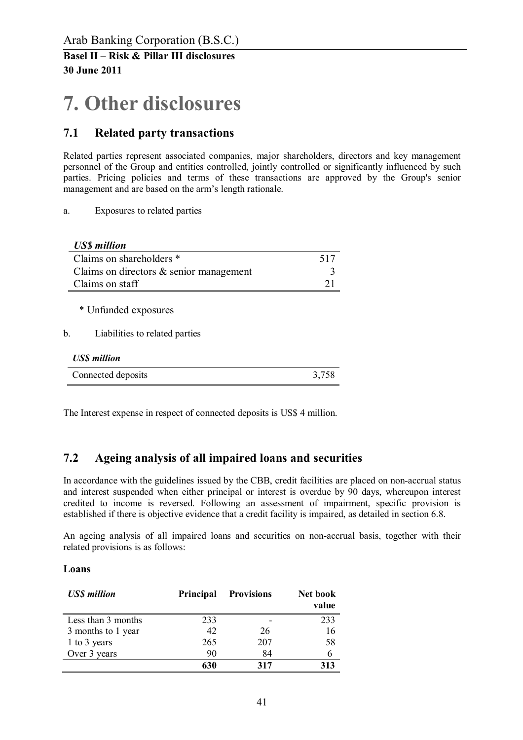## **7. Other disclosures**

### **7.1 Related party transactions**

Related parties represent associated companies, major shareholders, directors and key management personnel of the Group and entities controlled, jointly controlled or significantly influenced by such parties. Pricing policies and terms of these transactions are approved by the Group's senior management and are based on the arm's length rationale.

a. Exposures to related parties

| <b>US\$</b> million                                          |       |
|--------------------------------------------------------------|-------|
| Claims on shareholders *                                     | 517   |
| Claims on directors $\&$ senior management                   |       |
| Claims on staff                                              | 21    |
| * Unfunded exposures<br>Liabilities to related parties<br>b. |       |
| <b>USS</b> million                                           |       |
| Connected deposits                                           | 3,758 |

The Interest expense in respect of connected deposits is US\$ 4 million.

## **7.2 Ageing analysis of all impaired loans and securities**

In accordance with the guidelines issued by the CBB, credit facilities are placed on non-accrual status and interest suspended when either principal or interest is overdue by 90 days, whereupon interest credited to income is reversed. Following an assessment of impairment, specific provision is established if there is objective evidence that a credit facility is impaired, as detailed in section 6.8.

An ageing analysis of all impaired loans and securities on non-accrual basis, together with their related provisions is as follows:

#### **Loans**

| <b>US\$</b> million | Principal | <b>Provisions</b> | <b>Net book</b><br>value |
|---------------------|-----------|-------------------|--------------------------|
| Less than 3 months  | 233       |                   | 233                      |
| 3 months to 1 year  | 42        | 26                | 16                       |
| 1 to 3 years        | 265       | 207               | 58                       |
| Over 3 years        | 90        | 84                | 6                        |
|                     | 630       | 317               | 313                      |